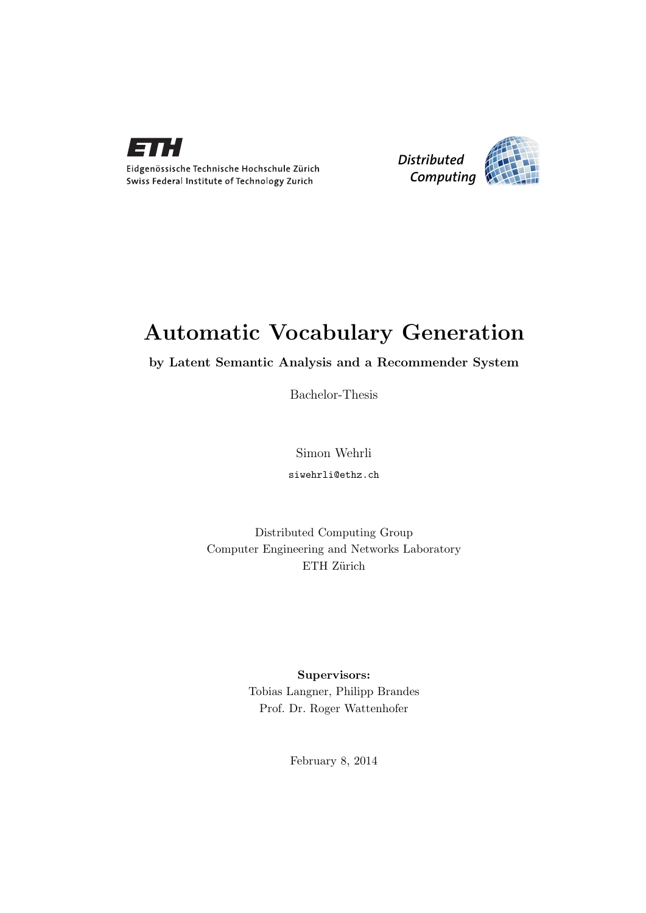



## Automatic Vocabulary Generation

by Latent Semantic Analysis and a Recommender System

Bachelor-Thesis

Simon Wehrli siwehrli@ethz.ch

Distributed Computing Group Computer Engineering and Networks Laboratory ETH Zürich

> Supervisors: Tobias Langner, Philipp Brandes Prof. Dr. Roger Wattenhofer

> > February 8, 2014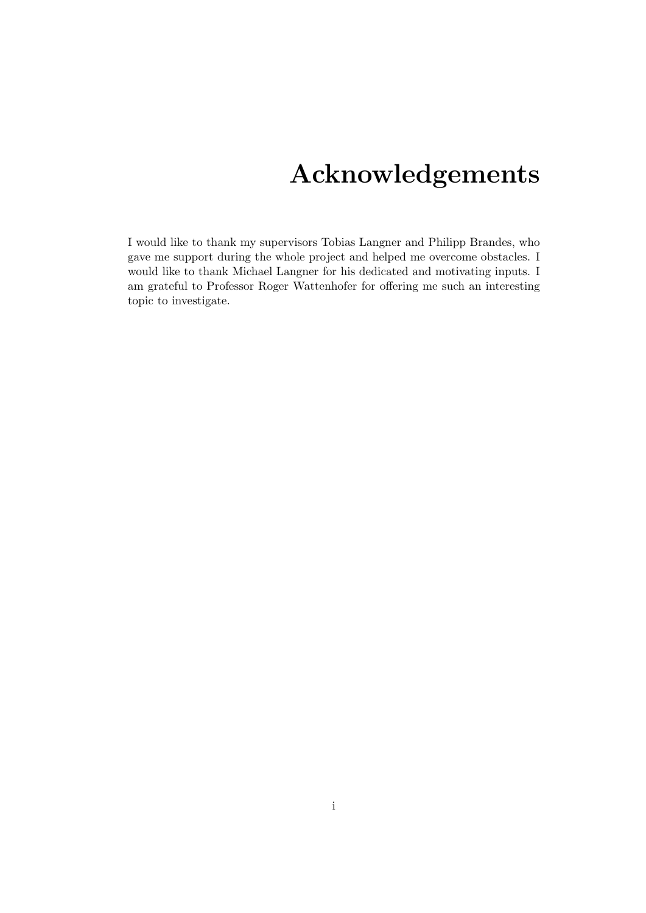## Acknowledgements

<span id="page-1-0"></span>I would like to thank my supervisors Tobias Langner and Philipp Brandes, who gave me support during the whole project and helped me overcome obstacles. I would like to thank Michael Langner for his dedicated and motivating inputs. I am grateful to Professor Roger Wattenhofer for offering me such an interesting topic to investigate.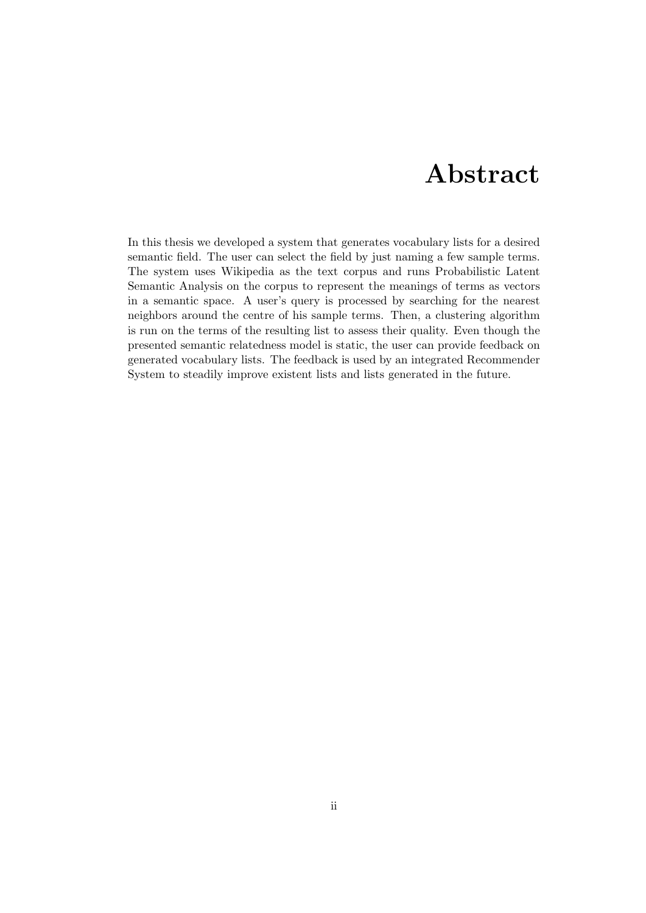## Abstract

<span id="page-2-0"></span>In this thesis we developed a system that generates vocabulary lists for a desired semantic field. The user can select the field by just naming a few sample terms. The system uses Wikipedia as the text corpus and runs Probabilistic Latent Semantic Analysis on the corpus to represent the meanings of terms as vectors in a semantic space. A user's query is processed by searching for the nearest neighbors around the centre of his sample terms. Then, a clustering algorithm is run on the terms of the resulting list to assess their quality. Even though the presented semantic relatedness model is static, the user can provide feedback on generated vocabulary lists. The feedback is used by an integrated Recommender System to steadily improve existent lists and lists generated in the future.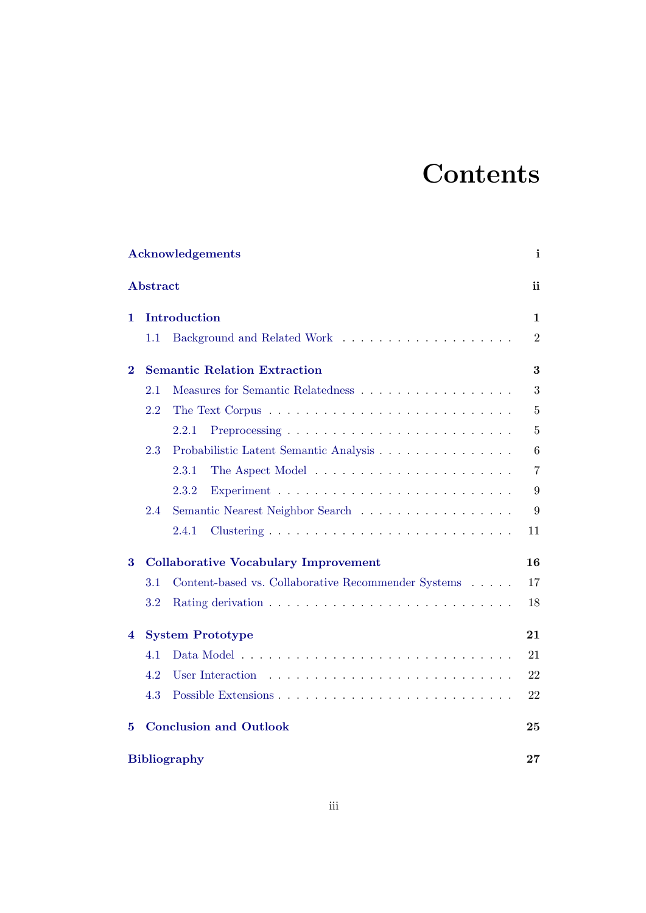# **Contents**

| <b>Acknowledgements</b><br>$\mathbf{i}$ |                                     |                                                     |                |  |  |  |
|-----------------------------------------|-------------------------------------|-----------------------------------------------------|----------------|--|--|--|
|                                         | <b>Abstract</b>                     |                                                     | ii             |  |  |  |
| 1                                       |                                     | Introduction                                        | 1              |  |  |  |
|                                         | 1.1                                 |                                                     | $\overline{2}$ |  |  |  |
| $\bf{2}$                                |                                     | <b>Semantic Relation Extraction</b>                 | 3              |  |  |  |
|                                         | 2.1                                 | Measures for Semantic Relatedness                   | 3              |  |  |  |
|                                         | 2.2                                 |                                                     | $\overline{5}$ |  |  |  |
|                                         |                                     | 2.2.1                                               | 5              |  |  |  |
|                                         | 2.3                                 | Probabilistic Latent Semantic Analysis              | 6              |  |  |  |
|                                         |                                     | 2.3.1                                               | $\overline{7}$ |  |  |  |
|                                         |                                     | 2.3.2                                               | 9              |  |  |  |
|                                         | 2.4                                 | Semantic Nearest Neighbor Search                    | 9              |  |  |  |
|                                         |                                     | 2.4.1                                               | 11             |  |  |  |
| 3                                       |                                     | <b>Collaborative Vocabulary Improvement</b>         | 16             |  |  |  |
|                                         | 3.1                                 | Content-based vs. Collaborative Recommender Systems | 17             |  |  |  |
|                                         | 3.2                                 |                                                     | 18             |  |  |  |
| 4                                       | <b>System Prototype</b><br>21       |                                                     |                |  |  |  |
|                                         | 4.1                                 |                                                     | 21             |  |  |  |
|                                         | 4.2                                 | User Interaction                                    | 22             |  |  |  |
|                                         | 4.3                                 |                                                     | 22             |  |  |  |
| 5                                       | <b>Conclusion and Outlook</b><br>25 |                                                     |                |  |  |  |
|                                         | <b>Bibliography</b><br>$\bf 27$     |                                                     |                |  |  |  |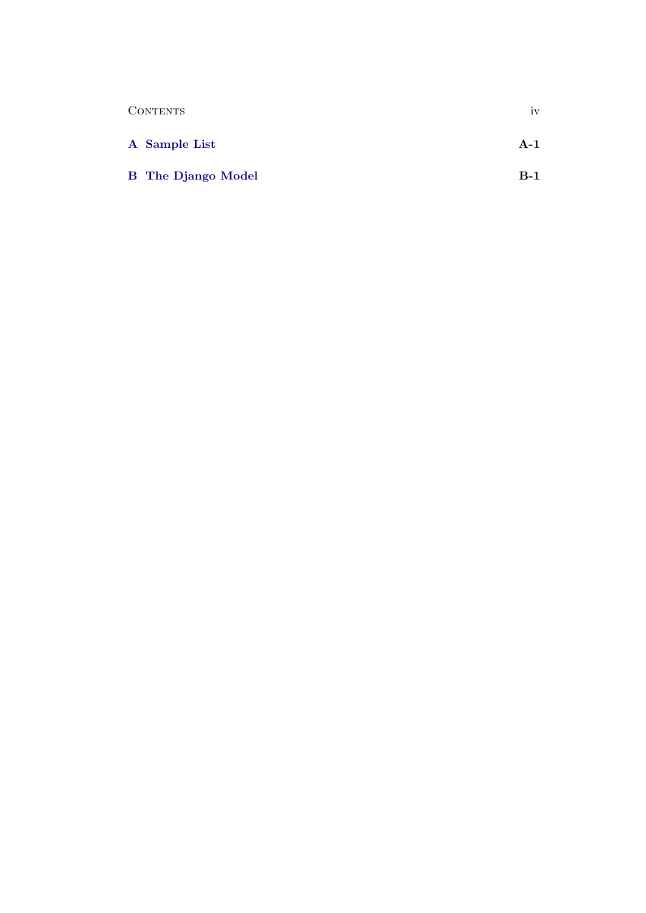| <b>CONTENTS</b>           | 1V    |
|---------------------------|-------|
| A Sample List             | $A-1$ |
| <b>B</b> The Django Model | $B-1$ |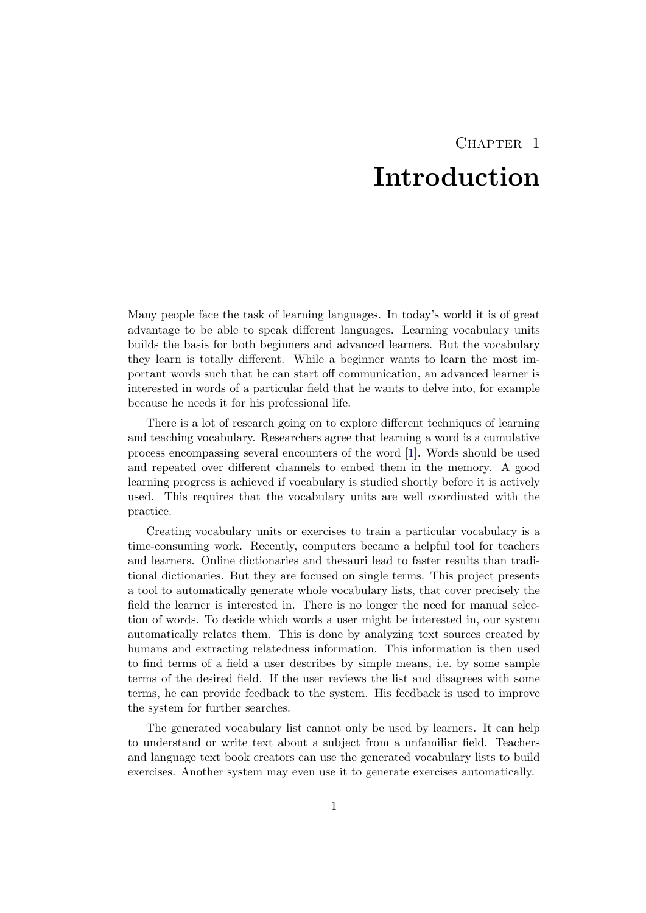## CHAPTER<sub>1</sub> Introduction

<span id="page-5-0"></span>Many people face the task of learning languages. In today's world it is of great advantage to be able to speak different languages. Learning vocabulary units builds the basis for both beginners and advanced learners. But the vocabulary they learn is totally different. While a beginner wants to learn the most important words such that he can start off communication, an advanced learner is interested in words of a particular field that he wants to delve into, for example because he needs it for his professional life.

There is a lot of research going on to explore different techniques of learning and teaching vocabulary. Researchers agree that learning a word is a cumulative process encompassing several encounters of the word [\[1\]](#page-31-1). Words should be used and repeated over different channels to embed them in the memory. A good learning progress is achieved if vocabulary is studied shortly before it is actively used. This requires that the vocabulary units are well coordinated with the practice.

Creating vocabulary units or exercises to train a particular vocabulary is a time-consuming work. Recently, computers became a helpful tool for teachers and learners. Online dictionaries and thesauri lead to faster results than traditional dictionaries. But they are focused on single terms. This project presents a tool to automatically generate whole vocabulary lists, that cover precisely the field the learner is interested in. There is no longer the need for manual selection of words. To decide which words a user might be interested in, our system automatically relates them. This is done by analyzing text sources created by humans and extracting relatedness information. This information is then used to find terms of a field a user describes by simple means, i.e. by some sample terms of the desired field. If the user reviews the list and disagrees with some terms, he can provide feedback to the system. His feedback is used to improve the system for further searches.

The generated vocabulary list cannot only be used by learners. It can help to understand or write text about a subject from a unfamiliar field. Teachers and language text book creators can use the generated vocabulary lists to build exercises. Another system may even use it to generate exercises automatically.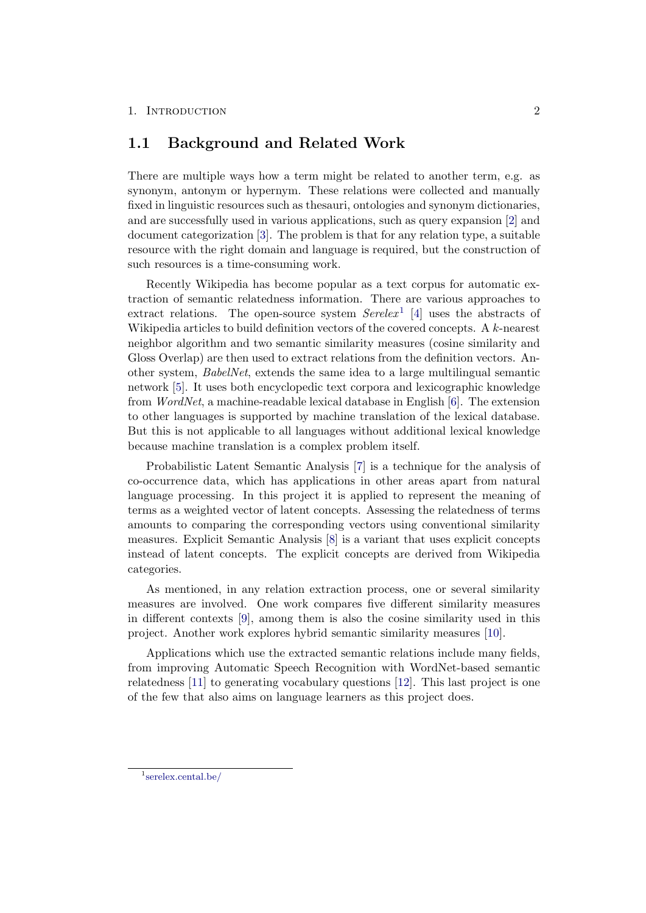### <span id="page-6-0"></span>1.1 Background and Related Work

There are multiple ways how a term might be related to another term, e.g. as synonym, antonym or hypernym. These relations were collected and manually fixed in linguistic resources such as thesauri, ontologies and synonym dictionaries, and are successfully used in various applications, such as query expansion [\[2\]](#page-31-2) and document categorization [\[3\]](#page-31-3). The problem is that for any relation type, a suitable resource with the right domain and language is required, but the construction of such resources is a time-consuming work.

Recently Wikipedia has become popular as a text corpus for automatic extraction of semantic relatedness information. There are various approaches to extract relations. The open-source system  $Serelex<sup>1</sup>$  $Serelex<sup>1</sup>$  $Serelex<sup>1</sup>$  [\[4\]](#page-31-4) uses the abstracts of Wikipedia articles to build definition vectors of the covered concepts. A k-nearest neighbor algorithm and two semantic similarity measures (cosine similarity and Gloss Overlap) are then used to extract relations from the definition vectors. Another system, BabelNet, extends the same idea to a large multilingual semantic network [\[5\]](#page-31-5). It uses both encyclopedic text corpora and lexicographic knowledge from WordNet, a machine-readable lexical database in English [\[6\]](#page-31-6). The extension to other languages is supported by machine translation of the lexical database. But this is not applicable to all languages without additional lexical knowledge because machine translation is a complex problem itself.

Probabilistic Latent Semantic Analysis [\[7\]](#page-31-7) is a technique for the analysis of co-occurrence data, which has applications in other areas apart from natural language processing. In this project it is applied to represent the meaning of terms as a weighted vector of latent concepts. Assessing the relatedness of terms amounts to comparing the corresponding vectors using conventional similarity measures. Explicit Semantic Analysis [\[8\]](#page-31-8) is a variant that uses explicit concepts instead of latent concepts. The explicit concepts are derived from Wikipedia categories.

As mentioned, in any relation extraction process, one or several similarity measures are involved. One work compares five different similarity measures in different contexts [\[9\]](#page-31-9), among them is also the cosine similarity used in this project. Another work explores hybrid semantic similarity measures [\[10\]](#page-31-10).

Applications which use the extracted semantic relations include many fields, from improving Automatic Speech Recognition with WordNet-based semantic relatedness [\[11\]](#page-32-0) to generating vocabulary questions [\[12\]](#page-32-1). This last project is one of the few that also aims on language learners as this project does.

<span id="page-6-1"></span><sup>1</sup> [serelex.cental.be/](http://serelex.cental.be/)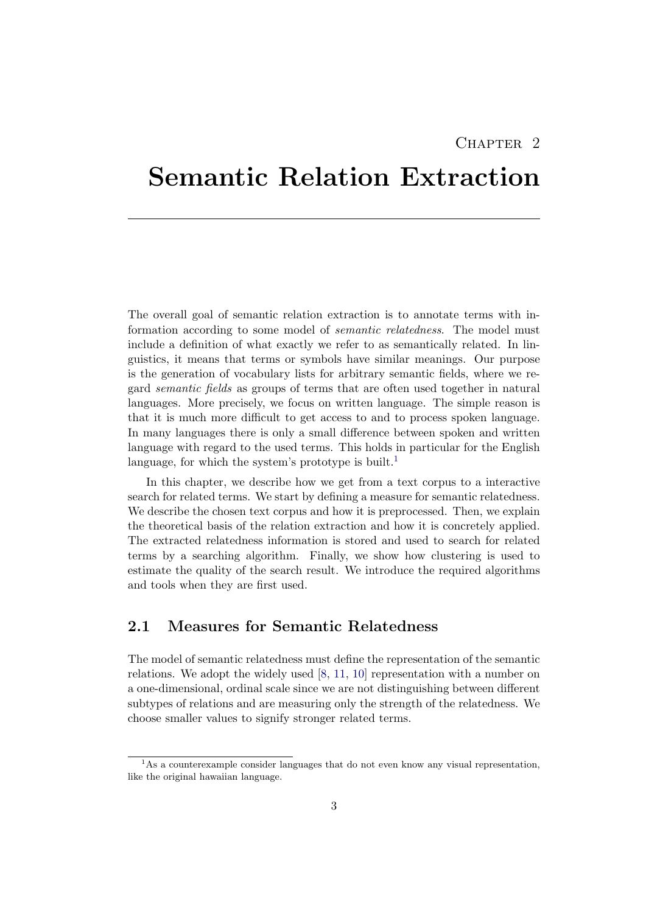## $CHAPTER$  2

## <span id="page-7-0"></span>Semantic Relation Extraction

The overall goal of semantic relation extraction is to annotate terms with information according to some model of semantic relatedness. The model must include a definition of what exactly we refer to as semantically related. In linguistics, it means that terms or symbols have similar meanings. Our purpose is the generation of vocabulary lists for arbitrary semantic fields, where we regard semantic fields as groups of terms that are often used together in natural languages. More precisely, we focus on written language. The simple reason is that it is much more difficult to get access to and to process spoken language. In many languages there is only a small difference between spoken and written language with regard to the used terms. This holds in particular for the English language, for which the system's prototype is built.<sup>[1](#page-7-2)</sup>

In this chapter, we describe how we get from a text corpus to a interactive search for related terms. We start by defining a measure for semantic relatedness. We describe the chosen text corpus and how it is preprocessed. Then, we explain the theoretical basis of the relation extraction and how it is concretely applied. The extracted relatedness information is stored and used to search for related terms by a searching algorithm. Finally, we show how clustering is used to estimate the quality of the search result. We introduce the required algorithms and tools when they are first used.

## <span id="page-7-1"></span>2.1 Measures for Semantic Relatedness

The model of semantic relatedness must define the representation of the semantic relations. We adopt the widely used [\[8,](#page-31-8) [11,](#page-32-0) [10\]](#page-31-10) representation with a number on a one-dimensional, ordinal scale since we are not distinguishing between different subtypes of relations and are measuring only the strength of the relatedness. We choose smaller values to signify stronger related terms.

<span id="page-7-2"></span><sup>&</sup>lt;sup>1</sup>As a counterexample consider languages that do not even know any visual representation, like the original hawaiian language.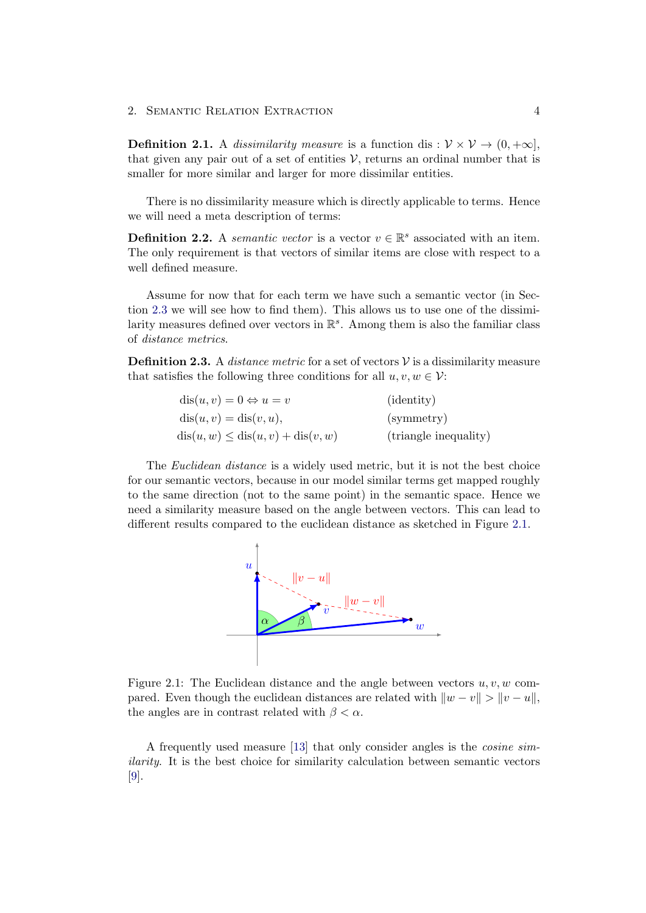**Definition 2.1.** A dissimilarity measure is a function dis :  $V \times V \rightarrow (0, +\infty)$ , that given any pair out of a set of entities  $\mathcal V$ , returns an ordinal number that is smaller for more similar and larger for more dissimilar entities.

There is no dissimilarity measure which is directly applicable to terms. Hence we will need a meta description of terms:

<span id="page-8-1"></span>**Definition 2.2.** A semantic vector is a vector  $v \in \mathbb{R}^s$  associated with an item. The only requirement is that vectors of similar items are close with respect to a well defined measure.

Assume for now that for each term we have such a semantic vector (in Section [2.3](#page-10-0) we will see how to find them). This allows us to use one of the dissimilarity measures defined over vectors in  $\mathbb{R}^s$ . Among them is also the familiar class of distance metrics.

**Definition 2.3.** A *distance metric* for a set of vectors  $\mathcal V$  is a dissimilarity measure that satisfies the following three conditions for all  $u, v, w \in V$ :

| $dis(u, v) = 0 \Leftrightarrow u = v$ | ( <i>identity</i> )   |
|---------------------------------------|-----------------------|
| $dis(u, v) = dis(v, u),$              | (symmetry)            |
| $dis(u, w) \le dis(u, v) + dis(v, w)$ | (triangle inequality) |

<span id="page-8-0"></span>The *Euclidean distance* is a widely used metric, but it is not the best choice for our semantic vectors, because in our model similar terms get mapped roughly to the same direction (not to the same point) in the semantic space. Hence we need a similarity measure based on the angle between vectors. This can lead to different results compared to the euclidean distance as sketched in Figure [2.1.](#page-8-0)



Figure 2.1: The Euclidean distance and the angle between vectors  $u, v, w$  compared. Even though the euclidean distances are related with  $||w - v|| > ||v - u||$ , the angles are in contrast related with  $\beta < \alpha$ .

A frequently used measure [\[13\]](#page-32-2) that only consider angles is the cosine similarity. It is the best choice for similarity calculation between semantic vectors [\[9\]](#page-31-9).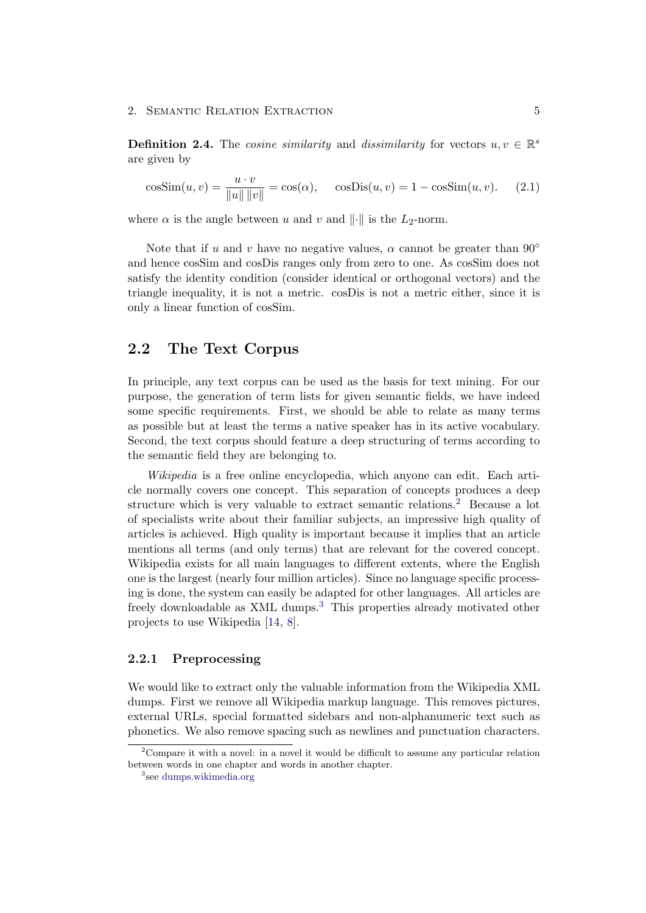**Definition 2.4.** The *cosine similarity* and *dissimilarity* for vectors  $u, v \in \mathbb{R}^s$ are given by

$$
\cos \text{Sim}(u, v) = \frac{u \cdot v}{\|u\| \|v\|} = \cos(\alpha), \quad \cos \text{Dis}(u, v) = 1 - \cos \text{Sim}(u, v). \tag{2.1}
$$

where  $\alpha$  is the angle between u and v and  $\|\cdot\|$  is the L<sub>2</sub>-norm.

Note that if u and v have no negative values,  $\alpha$  cannot be greater than  $90^{\circ}$ and hence cosSim and cosDis ranges only from zero to one. As cosSim does not satisfy the identity condition (consider identical or orthogonal vectors) and the triangle inequality, it is not a metric. cosDis is not a metric either, since it is only a linear function of cosSim.

## <span id="page-9-0"></span>2.2 The Text Corpus

In principle, any text corpus can be used as the basis for text mining. For our purpose, the generation of term lists for given semantic fields, we have indeed some specific requirements. First, we should be able to relate as many terms as possible but at least the terms a native speaker has in its active vocabulary. Second, the text corpus should feature a deep structuring of terms according to the semantic field they are belonging to.

Wikipedia is a free online encyclopedia, which anyone can edit. Each article normally covers one concept. This separation of concepts produces a deep structure which is very valuable to extract semantic relations.[2](#page-9-2) Because a lot of specialists write about their familiar subjects, an impressive high quality of articles is achieved. High quality is important because it implies that an article mentions all terms (and only terms) that are relevant for the covered concept. Wikipedia exists for all main languages to different extents, where the English one is the largest (nearly four million articles). Since no language specific processing is done, the system can easily be adapted for other languages. All articles are freely downloadable as XML dumps.[3](#page-9-3) This properties already motivated other projects to use Wikipedia [\[14,](#page-32-3) [8\]](#page-31-8).

#### <span id="page-9-1"></span>2.2.1 Preprocessing

We would like to extract only the valuable information from the Wikipedia XML dumps. First we remove all Wikipedia markup language. This removes pictures, external URLs, special formatted sidebars and non-alphanumeric text such as phonetics. We also remove spacing such as newlines and punctuation characters.

<span id="page-9-2"></span><sup>&</sup>lt;sup>2</sup>Compare it with a novel: in a novel it would be difficult to assume any particular relation between words in one chapter and words in another chapter.

<span id="page-9-3"></span><sup>3</sup> see [dumps.wikimedia.org](http://dumps.wikimedia.org/)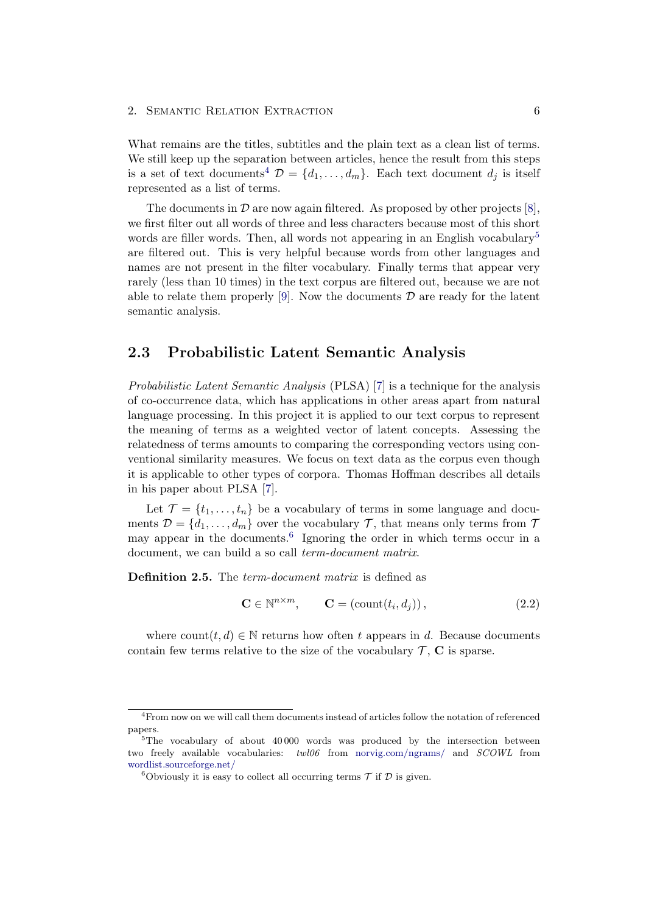What remains are the titles, subtitles and the plain text as a clean list of terms. We still keep up the separation between articles, hence the result from this steps is a set of text documents<sup>[4](#page-10-1)</sup>  $\mathcal{D} = \{d_1, \ldots, d_m\}$ . Each text document  $d_i$  is itself represented as a list of terms.

The documents in  $\mathcal D$  are now again filtered. As proposed by other projects [\[8\]](#page-31-8), we first filter out all words of three and less characters because most of this short words are filler words. Then, all words not appearing in an English vocabulary<sup>[5](#page-10-2)</sup> are filtered out. This is very helpful because words from other languages and names are not present in the filter vocabulary. Finally terms that appear very rarely (less than 10 times) in the text corpus are filtered out, because we are not able to relate them properly [\[9\]](#page-31-9). Now the documents  $\mathcal D$  are ready for the latent semantic analysis.

### <span id="page-10-0"></span>2.3 Probabilistic Latent Semantic Analysis

Probabilistic Latent Semantic Analysis (PLSA) [\[7\]](#page-31-7) is a technique for the analysis of co-occurrence data, which has applications in other areas apart from natural language processing. In this project it is applied to our text corpus to represent the meaning of terms as a weighted vector of latent concepts. Assessing the relatedness of terms amounts to comparing the corresponding vectors using conventional similarity measures. We focus on text data as the corpus even though it is applicable to other types of corpora. Thomas Hoffman describes all details in his paper about PLSA [\[7\]](#page-31-7).

Let  $\mathcal{T} = \{t_1, \ldots, t_n\}$  be a vocabulary of terms in some language and documents  $\mathcal{D} = \{d_1, \ldots, d_m\}$  over the vocabulary  $\mathcal{T}$ , that means only terms from  $\mathcal{T}$ may appear in the documents.<sup>[6](#page-10-3)</sup> Ignoring the order in which terms occur in a document, we can build a so call term-document matrix.

Definition 2.5. The *term-document matrix* is defined as

$$
\mathbf{C} \in \mathbb{N}^{n \times m}, \qquad \mathbf{C} = (\text{count}(t_i, d_j)), \qquad (2.2)
$$

where count $(t, d) \in \mathbb{N}$  returns how often t appears in d. Because documents contain few terms relative to the size of the vocabulary  $\mathcal{T}$ ,  $\mathbf C$  is sparse.

<span id="page-10-1"></span><sup>4</sup>From now on we will call them documents instead of articles follow the notation of referenced papers.

<span id="page-10-2"></span><sup>&</sup>lt;sup>5</sup>The vocabulary of about 40000 words was produced by the intersection between two freely available vocabularies: twl06 from [norvig.com/ngrams/](http://norvig.com/ngrams/) and SCOWL from [wordlist.sourceforge.net/](http://wordlist.sourceforge.net/)

<span id="page-10-3"></span><sup>&</sup>lt;sup>6</sup>Obviously it is easy to collect all occurring terms  $\mathcal T$  if  $\mathcal D$  is given.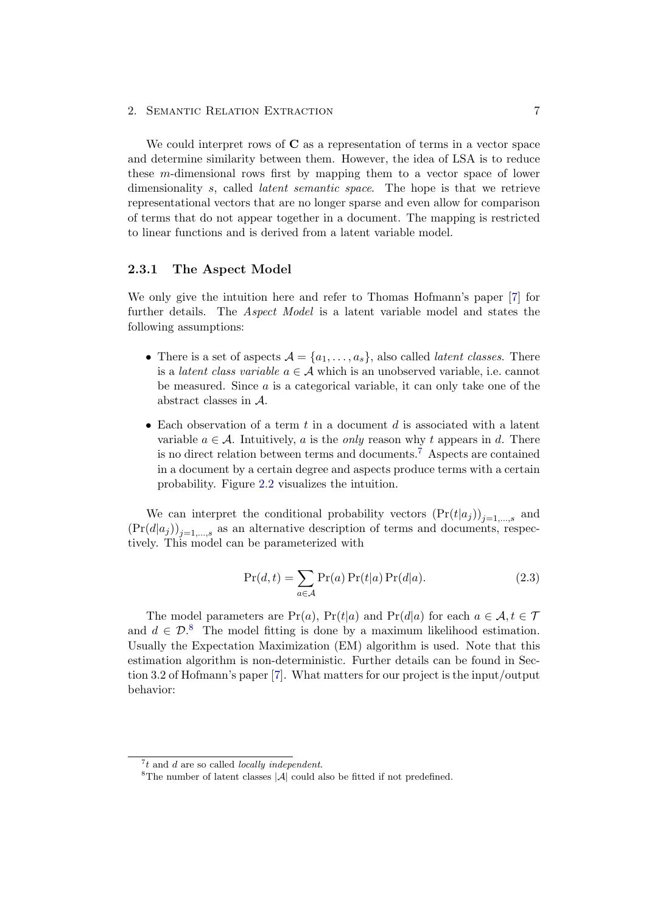We could interpret rows of  $C$  as a representation of terms in a vector space and determine similarity between them. However, the idea of LSA is to reduce these m-dimensional rows first by mapping them to a vector space of lower dimensionality s, called *latent semantic space*. The hope is that we retrieve representational vectors that are no longer sparse and even allow for comparison of terms that do not appear together in a document. The mapping is restricted to linear functions and is derived from a latent variable model.

### <span id="page-11-0"></span>2.3.1 The Aspect Model

We only give the intuition here and refer to Thomas Hofmann's paper [\[7\]](#page-31-7) for further details. The Aspect Model is a latent variable model and states the following assumptions:

- There is a set of aspects  $A = \{a_1, \ldots, a_s\}$ , also called *latent classes*. There is a *latent class variable*  $a \in \mathcal{A}$  which is an unobserved variable, i.e. cannot be measured. Since  $a$  is a categorical variable, it can only take one of the abstract classes in A.
- Each observation of a term  $t$  in a document  $d$  is associated with a latent variable  $a \in \mathcal{A}$ . Intuitively, a is the *only* reason why t appears in d. There is no direct relation between terms and documents.[7](#page-11-1) Aspects are contained in a document by a certain degree and aspects produce terms with a certain probability. Figure [2.2](#page-12-0) visualizes the intuition.

We can interpret the conditional probability vectors  $(Pr(t|a_j))_{j=1,\ldots,s}$  and  $(\Pr(d|a_j))_{j=1,\ldots,s}$  as an alternative description of terms and documents, respectively. This model can be parameterized with

$$
\Pr(d, t) = \sum_{a \in \mathcal{A}} \Pr(a) \Pr(t|a) \Pr(d|a). \tag{2.3}
$$

The model parameters are Pr(a), Pr(t|a) and Pr(d|a) for each  $a \in \mathcal{A}, t \in \mathcal{T}$ and  $d \in \mathcal{D}^8$  $d \in \mathcal{D}^8$ . The model fitting is done by a maximum likelihood estimation. Usually the Expectation Maximization (EM) algorithm is used. Note that this estimation algorithm is non-deterministic. Further details can be found in Section 3.2 of Hofmann's paper [\[7\]](#page-31-7). What matters for our project is the input/output behavior:

<span id="page-11-1"></span> $7t$  and d are so called locally independent.

<span id="page-11-2"></span><sup>&</sup>lt;sup>8</sup>The number of latent classes  $|\mathcal{A}|$  could also be fitted if not predefined.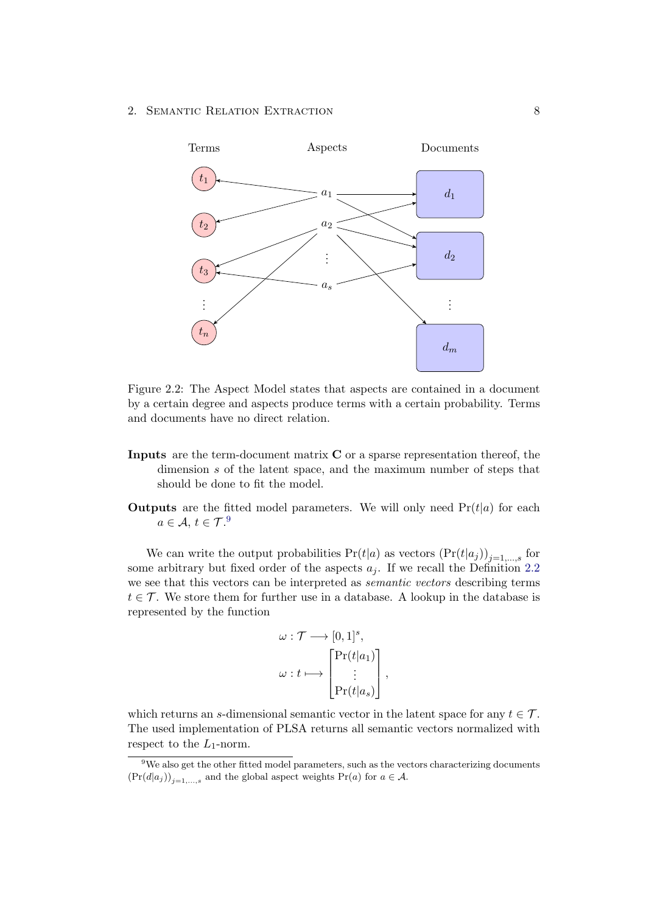<span id="page-12-0"></span>

Figure 2.2: The Aspect Model states that aspects are contained in a document by a certain degree and aspects produce terms with a certain probability. Terms and documents have no direct relation.

- Inputs are the term-document matrix C or a sparse representation thereof, the dimension s of the latent space, and the maximum number of steps that should be done to fit the model.
- **Outputs** are the fitted model parameters. We will only need  $Pr(t|a)$  for each  $a \in \mathcal{A}, t \in \mathcal{T}^{.9}$  $a \in \mathcal{A}, t \in \mathcal{T}^{.9}$  $a \in \mathcal{A}, t \in \mathcal{T}^{.9}$

We can write the output probabilities  $Pr(t|a)$  as vectors  $(Pr(t|a_j))_{j=1,\dots,s}$  for some arbitrary but fixed order of the aspects  $a_i$ . If we recall the Definition [2.2](#page-8-1) we see that this vectors can be interpreted as semantic vectors describing terms  $t \in \mathcal{T}$ . We store them for further use in a database. A lookup in the database is represented by the function

$$
\omega : \mathcal{T} \longrightarrow [0,1]^s,
$$
  

$$
\omega : t \longmapsto \begin{bmatrix} \Pr(t|a_1) \\ \vdots \\ \Pr(t|a_s) \end{bmatrix},
$$

which returns an s-dimensional semantic vector in the latent space for any  $t \in \mathcal{T}$ . The used implementation of PLSA returns all semantic vectors normalized with respect to the  $L_1$ -norm.

<span id="page-12-1"></span> $9$ We also get the other fitted model parameters, such as the vectors characterizing documents  $(\Pr(d|a_j))_{j=1,\ldots,s}$  and the global aspect weights  $\Pr(a)$  for  $a \in \mathcal{A}$ .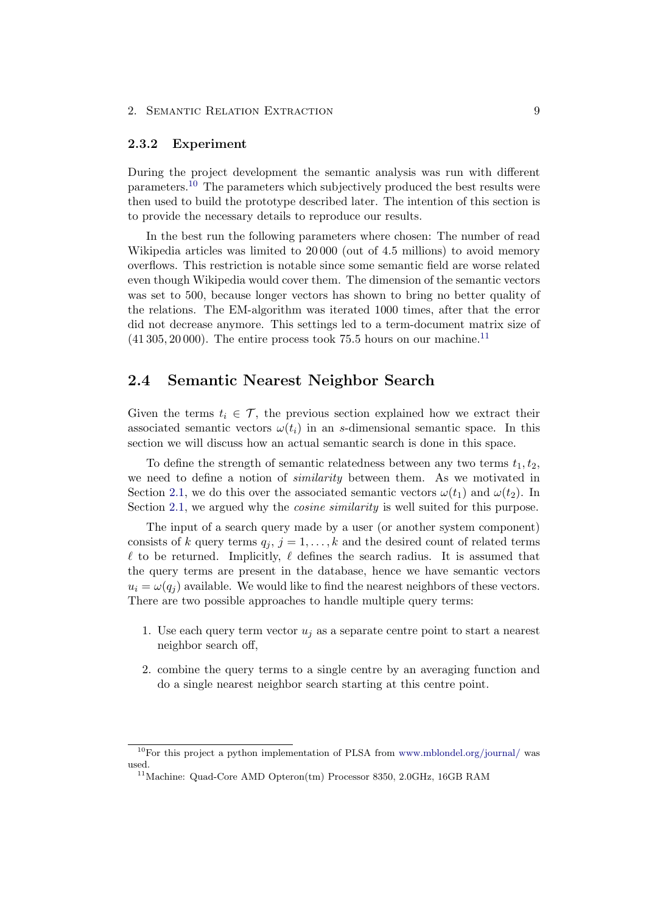#### <span id="page-13-0"></span>2.3.2 Experiment

During the project development the semantic analysis was run with different parameters.[10](#page-13-2) The parameters which subjectively produced the best results were then used to build the prototype described later. The intention of this section is to provide the necessary details to reproduce our results.

In the best run the following parameters where chosen: The number of read Wikipedia articles was limited to 20000 (out of 4.5 millions) to avoid memory overflows. This restriction is notable since some semantic field are worse related even though Wikipedia would cover them. The dimension of the semantic vectors was set to 500, because longer vectors has shown to bring no better quality of the relations. The EM-algorithm was iterated 1000 times, after that the error did not decrease anymore. This settings led to a term-document matrix size of  $(41305, 20000)$ . The entire process took 75.5 hours on our machine.<sup>[11](#page-13-3)</sup>

### <span id="page-13-1"></span>2.4 Semantic Nearest Neighbor Search

Given the terms  $t_i \in \mathcal{T}$ , the previous section explained how we extract their associated semantic vectors  $\omega(t_i)$  in an s-dimensional semantic space. In this section we will discuss how an actual semantic search is done in this space.

To define the strength of semantic relatedness between any two terms  $t_1, t_2$ , we need to define a notion of similarity between them. As we motivated in Section [2.1,](#page-7-1) we do this over the associated semantic vectors  $\omega(t_1)$  and  $\omega(t_2)$ . In Section [2.1,](#page-7-1) we argued why the *cosine similarity* is well suited for this purpose.

The input of a search query made by a user (or another system component) consists of k query terms  $q_i$ ,  $j = 1, ..., k$  and the desired count of related terms  $\ell$  to be returned. Implicitly,  $\ell$  defines the search radius. It is assumed that the query terms are present in the database, hence we have semantic vectors  $u_i = \omega(q_i)$  available. We would like to find the nearest neighbors of these vectors. There are two possible approaches to handle multiple query terms:

- 1. Use each query term vector  $u_i$  as a separate centre point to start a nearest neighbor search off,
- 2. combine the query terms to a single centre by an averaging function and do a single nearest neighbor search starting at this centre point.

<span id="page-13-2"></span> $10$ For this project a python implementation of PLSA from [www.mblondel.org/journal/](http://www.mblondel.org/journal/2010/06/13/lsa-and-plsa-in-python/) was used.

<span id="page-13-3"></span><sup>&</sup>lt;sup>11</sup> Machine: Quad-Core AMD Opteron(tm) Processor 8350, 2.0GHz, 16GB RAM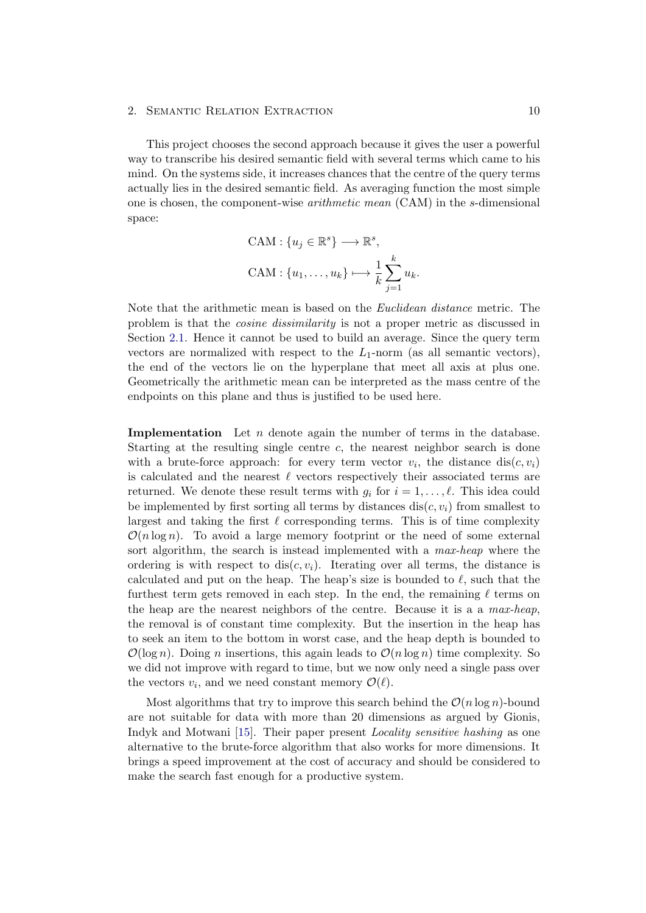This project chooses the second approach because it gives the user a powerful way to transcribe his desired semantic field with several terms which came to his mind. On the systems side, it increases chances that the centre of the query terms actually lies in the desired semantic field. As averaging function the most simple one is chosen, the component-wise arithmetic mean (CAM) in the s-dimensional space:

$$
CAM: \{u_j \in \mathbb{R}^s\} \longrightarrow \mathbb{R}^s,
$$
  

$$
CAM: \{u_1, \dots, u_k\} \longmapsto \frac{1}{k} \sum_{j=1}^k u_k.
$$

Note that the arithmetic mean is based on the Euclidean distance metric. The problem is that the cosine dissimilarity is not a proper metric as discussed in Section [2.1.](#page-7-1) Hence it cannot be used to build an average. Since the query term vectors are normalized with respect to the  $L_1$ -norm (as all semantic vectors), the end of the vectors lie on the hyperplane that meet all axis at plus one. Geometrically the arithmetic mean can be interpreted as the mass centre of the endpoints on this plane and thus is justified to be used here.

**Implementation** Let  $n$  denote again the number of terms in the database. Starting at the resulting single centre c, the nearest neighbor search is done with a brute-force approach: for every term vector  $v_i$ , the distance  $dis(c, v_i)$ is calculated and the nearest  $\ell$  vectors respectively their associated terms are returned. We denote these result terms with  $g_i$  for  $i = 1, \ldots, \ell$ . This idea could be implemented by first sorting all terms by distances dis( $c, v_i$ ) from smallest to largest and taking the first  $\ell$  corresponding terms. This is of time complexity  $\mathcal{O}(n \log n)$ . To avoid a large memory footprint or the need of some external sort algorithm, the search is instead implemented with a max-heap where the ordering is with respect to  $dis(c, v_i)$ . Iterating over all terms, the distance is calculated and put on the heap. The heap's size is bounded to  $\ell$ , such that the furthest term gets removed in each step. In the end, the remaining  $\ell$  terms on the heap are the nearest neighbors of the centre. Because it is a a max-heap, the removal is of constant time complexity. But the insertion in the heap has to seek an item to the bottom in worst case, and the heap depth is bounded to  $\mathcal{O}(\log n)$ . Doing *n* insertions, this again leads to  $\mathcal{O}(n \log n)$  time complexity. So we did not improve with regard to time, but we now only need a single pass over the vectors  $v_i$ , and we need constant memory  $\mathcal{O}(\ell)$ .

Most algorithms that try to improve this search behind the  $\mathcal{O}(n \log n)$ -bound are not suitable for data with more than 20 dimensions as argued by Gionis, Indyk and Motwani [\[15\]](#page-32-4). Their paper present Locality sensitive hashing as one alternative to the brute-force algorithm that also works for more dimensions. It brings a speed improvement at the cost of accuracy and should be considered to make the search fast enough for a productive system.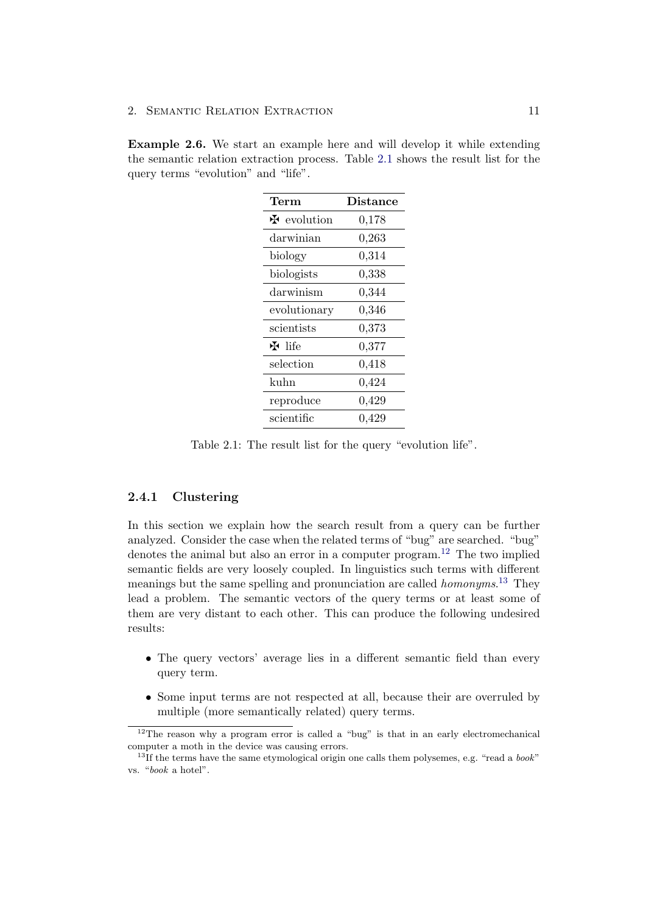<span id="page-15-4"></span><span id="page-15-1"></span>Example 2.6. We start an example here and will develop it while extending the semantic relation extraction process. Table [2.1](#page-15-1) shows the result list for the query terms "evolution" and "life".

| $\mathrm{Term}$    | <b>Distance</b> |  |
|--------------------|-----------------|--|
| <b>H</b> evolution | 0,178           |  |
| darwinian          | 0,263           |  |
| biology            | 0,314           |  |
| biologists         | 0,338           |  |
| darwinism          | 0,344           |  |
| evolutionary       | 0,346           |  |
| scientists         | 0,373           |  |
| $H$ life           | 0,377           |  |
| selection          | 0,418           |  |
| kuhn               | 0,424           |  |
| reproduce          | 0,429           |  |
| scientific         | ${0,429}$       |  |

Table 2.1: The result list for the query "evolution life".

### <span id="page-15-0"></span>2.4.1 Clustering

In this section we explain how the search result from a query can be further analyzed. Consider the case when the related terms of "bug" are searched. "bug" denotes the animal but also an error in a computer program.<sup>[12](#page-15-2)</sup> The two implied semantic fields are very loosely coupled. In linguistics such terms with different meanings but the same spelling and pronunciation are called *homonyms*.<sup>[13](#page-15-3)</sup> They lead a problem. The semantic vectors of the query terms or at least some of them are very distant to each other. This can produce the following undesired results:

- The query vectors' average lies in a different semantic field than every query term.
- Some input terms are not respected at all, because their are overruled by multiple (more semantically related) query terms.

<span id="page-15-2"></span> $12$ The reason why a program error is called a "bug" is that in an early electromechanical computer a moth in the device was causing errors.

<span id="page-15-3"></span> $13$ If the terms have the same etymological origin one calls them polysemes, e.g. "read a  $book$ " vs. "book a hotel".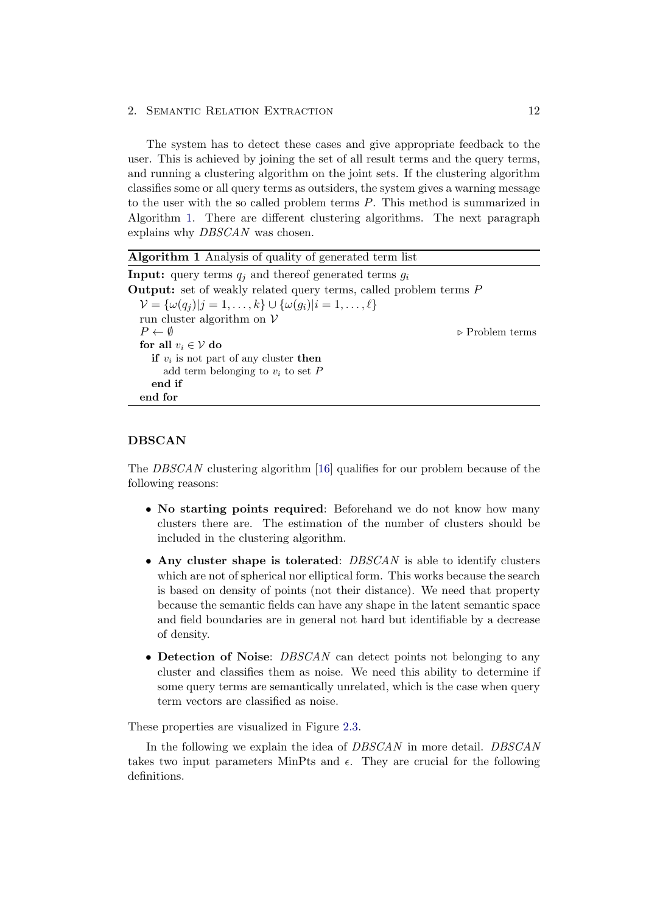The system has to detect these cases and give appropriate feedback to the user. This is achieved by joining the set of all result terms and the query terms, and running a clustering algorithm on the joint sets. If the clustering algorithm classifies some or all query terms as outsiders, the system gives a warning message to the user with the so called problem terms P. This method is summarized in Algorithm [1.](#page-16-0) There are different clustering algorithms. The next paragraph explains why DBSCAN was chosen.

<span id="page-16-0"></span>

| <b>Algorithm 1</b> Analysis of quality of generated term list                         |                                |  |  |
|---------------------------------------------------------------------------------------|--------------------------------|--|--|
| <b>Input:</b> query terms $q_i$ and thereof generated terms $q_i$                     |                                |  |  |
| <b>Output:</b> set of weakly related query terms, called problem terms $P$            |                                |  |  |
| $\mathcal{V} = {\omega(q_i) j = 1, \ldots, k} \cup {\omega(q_i) i = 1, \ldots, \ell}$ |                                |  |  |
| run cluster algorithm on $V$                                                          |                                |  |  |
| $P \leftarrow \emptyset$                                                              | $\triangleright$ Problem terms |  |  |
| for all $v_i \in V$ do                                                                |                                |  |  |
| if $v_i$ is not part of any cluster then                                              |                                |  |  |
| add term belonging to $v_i$ to set P                                                  |                                |  |  |
| end if                                                                                |                                |  |  |
| end for                                                                               |                                |  |  |
|                                                                                       |                                |  |  |

#### DBSCAN

The DBSCAN clustering algorithm [\[16\]](#page-32-5) qualifies for our problem because of the following reasons:

- No starting points required: Beforehand we do not know how many clusters there are. The estimation of the number of clusters should be included in the clustering algorithm.
- Any cluster shape is tolerated: DBSCAN is able to identify clusters which are not of spherical nor elliptical form. This works because the search is based on density of points (not their distance). We need that property because the semantic fields can have any shape in the latent semantic space and field boundaries are in general not hard but identifiable by a decrease of density.
- Detection of Noise: *DBSCAN* can detect points not belonging to any cluster and classifies them as noise. We need this ability to determine if some query terms are semantically unrelated, which is the case when query term vectors are classified as noise.

These properties are visualized in Figure [2.3.](#page-17-0)

In the following we explain the idea of DBSCAN in more detail. DBSCAN takes two input parameters MinPts and  $\epsilon$ . They are crucial for the following definitions.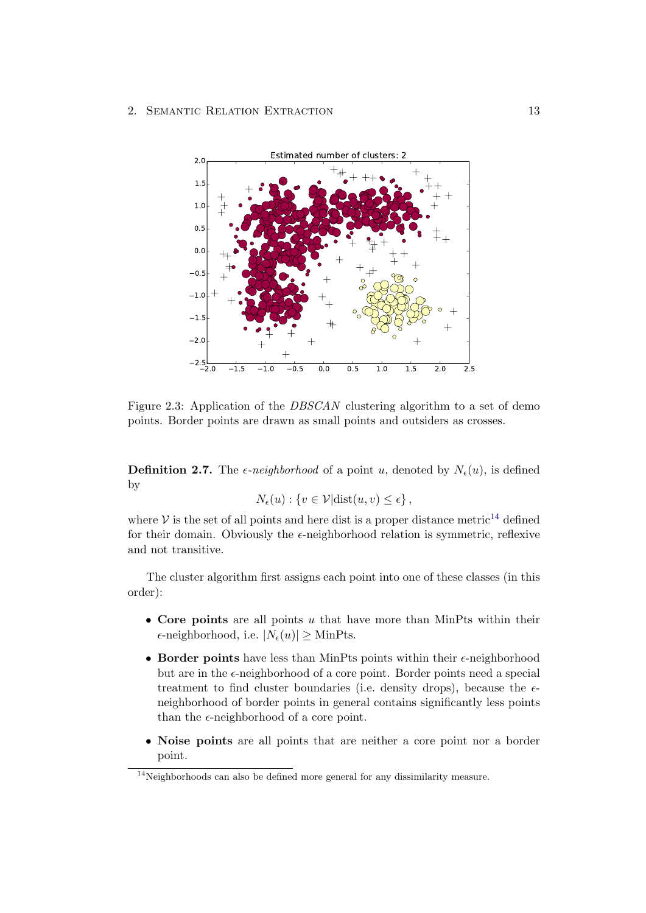<span id="page-17-0"></span>

Figure 2.3: Application of the *DBSCAN* clustering algorithm to a set of demo points. Border points are drawn as small points and outsiders as crosses.

**Definition 2.7.** The  $\epsilon$ -neighborhood of a point u, denoted by  $N_{\epsilon}(u)$ , is defined by

$$
N_{\epsilon}(u): \{v \in \mathcal{V} | \text{dist}(u, v) \leq \epsilon\},\
$$

where  $V$  is the set of all points and here dist is a proper distance metric<sup>[14](#page-17-1)</sup> defined for their domain. Obviously the  $\epsilon$ -neighborhood relation is symmetric, reflexive and not transitive.

The cluster algorithm first assigns each point into one of these classes (in this order):

- Core points are all points  $u$  that have more than MinPts within their  $\epsilon$ -neighborhood, i.e.  $|N_{\epsilon}(u)| >$  MinPts.
- Border points have less than MinPts points within their  $\epsilon$ -neighborhood but are in the  $\epsilon$ -neighborhood of a core point. Border points need a special treatment to find cluster boundaries (i.e. density drops), because the  $\epsilon$ neighborhood of border points in general contains significantly less points than the  $\epsilon$ -neighborhood of a core point.
- Noise points are all points that are neither a core point nor a border point.

<span id="page-17-1"></span><sup>&</sup>lt;sup>14</sup>Neighborhoods can also be defined more general for any dissimilarity measure.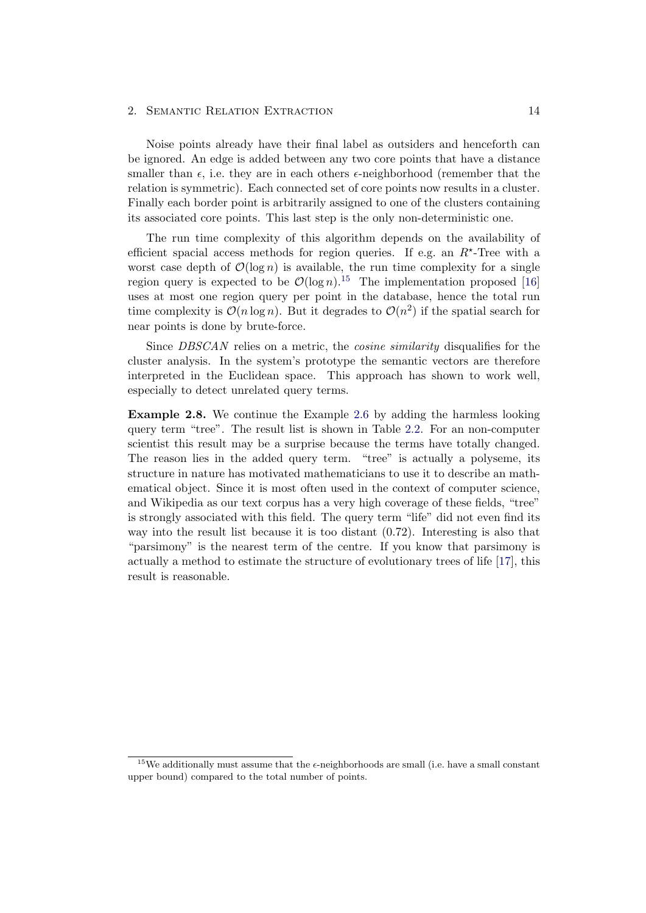Noise points already have their final label as outsiders and henceforth can be ignored. An edge is added between any two core points that have a distance smaller than  $\epsilon$ , i.e. they are in each others  $\epsilon$ -neighborhood (remember that the relation is symmetric). Each connected set of core points now results in a cluster. Finally each border point is arbitrarily assigned to one of the clusters containing its associated core points. This last step is the only non-deterministic one.

The run time complexity of this algorithm depends on the availability of efficient spacial access methods for region queries. If e.g. an  $R^*$ -Tree with a worst case depth of  $\mathcal{O}(\log n)$  is available, the run time complexity for a single region query is expected to be  $\mathcal{O}(\log n)^{15}$  $\mathcal{O}(\log n)^{15}$  $\mathcal{O}(\log n)^{15}$ . The implementation proposed [\[16\]](#page-32-5) uses at most one region query per point in the database, hence the total run time complexity is  $\mathcal{O}(n \log n)$ . But it degrades to  $\mathcal{O}(n^2)$  if the spatial search for near points is done by brute-force.

Since *DBSCAN* relies on a metric, the *cosine similarity* disqualifies for the cluster analysis. In the system's prototype the semantic vectors are therefore interpreted in the Euclidean space. This approach has shown to work well, especially to detect unrelated query terms.

Example 2.8. We continue the Example [2.6](#page-15-4) by adding the harmless looking query term "tree". The result list is shown in Table [2.2.](#page-19-0) For an non-computer scientist this result may be a surprise because the terms have totally changed. The reason lies in the added query term. "tree" is actually a polyseme, its structure in nature has motivated mathematicians to use it to describe an mathematical object. Since it is most often used in the context of computer science, and Wikipedia as our text corpus has a very high coverage of these fields, "tree" is strongly associated with this field. The query term "life" did not even find its way into the result list because it is too distant (0.72). Interesting is also that "parsimony" is the nearest term of the centre. If you know that parsimony is actually a method to estimate the structure of evolutionary trees of life [\[17\]](#page-32-6), this result is reasonable.

<span id="page-18-0"></span><sup>&</sup>lt;sup>15</sup>We additionally must assume that the  $\epsilon$ -neighborhoods are small (i.e. have a small constant upper bound) compared to the total number of points.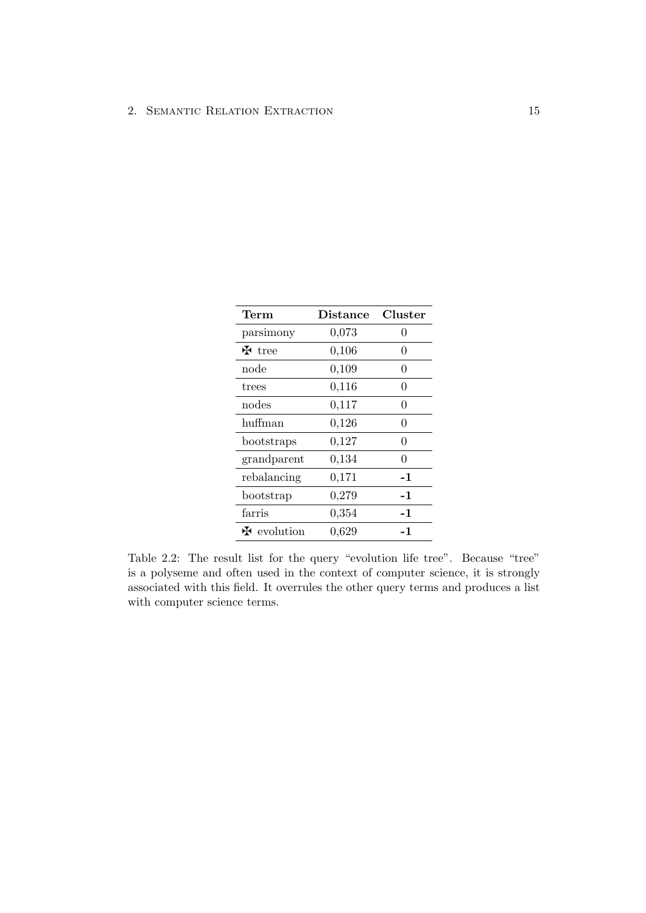<span id="page-19-0"></span>

| $\operatorname{Term}$              | <b>Distance</b> | Cluster |
|------------------------------------|-----------------|---------|
| parsimony                          | 0,073           | 0       |
| $\mathbf{\ddot{H}}$ tree           | 0,106           | 0       |
| node                               | 0,109           | 0       |
| trees                              | 0,116           | 0       |
| nodes                              | 0,117           | 0       |
| huffman                            | 0,126           | 0       |
| bootstraps                         | 0,127           | 0       |
| grandparent                        | 0,134           | 0       |
| rebalancing                        | 0,171           | -1      |
| bootstrap                          | 0,279           | -1      |
| farris                             | 0,354           | -1      |
| $\mathbf{\mathbf{\Phi}}$ evolution | 0,629           | -1      |

Table 2.2: The result list for the query "evolution life tree". Because "tree" is a polyseme and often used in the context of computer science, it is strongly associated with this field. It overrules the other query terms and produces a list with computer science terms.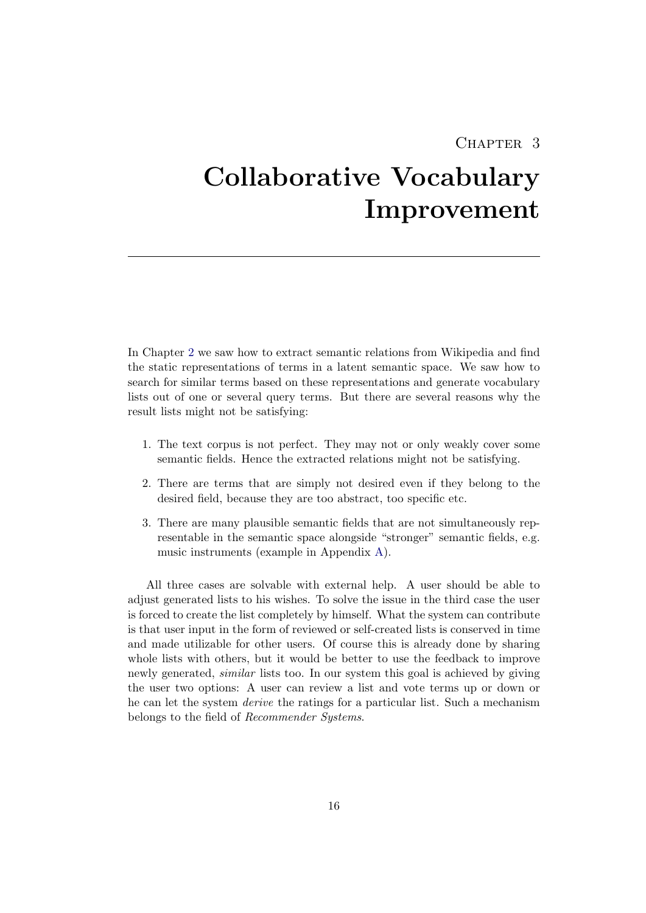## CHAPTER<sub>3</sub>

# <span id="page-20-0"></span>Collaborative Vocabulary Improvement

In Chapter [2](#page-7-0) we saw how to extract semantic relations from Wikipedia and find the static representations of terms in a latent semantic space. We saw how to search for similar terms based on these representations and generate vocabulary lists out of one or several query terms. But there are several reasons why the result lists might not be satisfying:

- 1. The text corpus is not perfect. They may not or only weakly cover some semantic fields. Hence the extracted relations might not be satisfying.
- 2. There are terms that are simply not desired even if they belong to the desired field, because they are too abstract, too specific etc.
- 3. There are many plausible semantic fields that are not simultaneously representable in the semantic space alongside "stronger" semantic fields, e.g. music instruments (example in Appendix [A\)](#page-33-0).

All three cases are solvable with external help. A user should be able to adjust generated lists to his wishes. To solve the issue in the third case the user is forced to create the list completely by himself. What the system can contribute is that user input in the form of reviewed or self-created lists is conserved in time and made utilizable for other users. Of course this is already done by sharing whole lists with others, but it would be better to use the feedback to improve newly generated, similar lists too. In our system this goal is achieved by giving the user two options: A user can review a list and vote terms up or down or he can let the system derive the ratings for a particular list. Such a mechanism belongs to the field of Recommender Systems.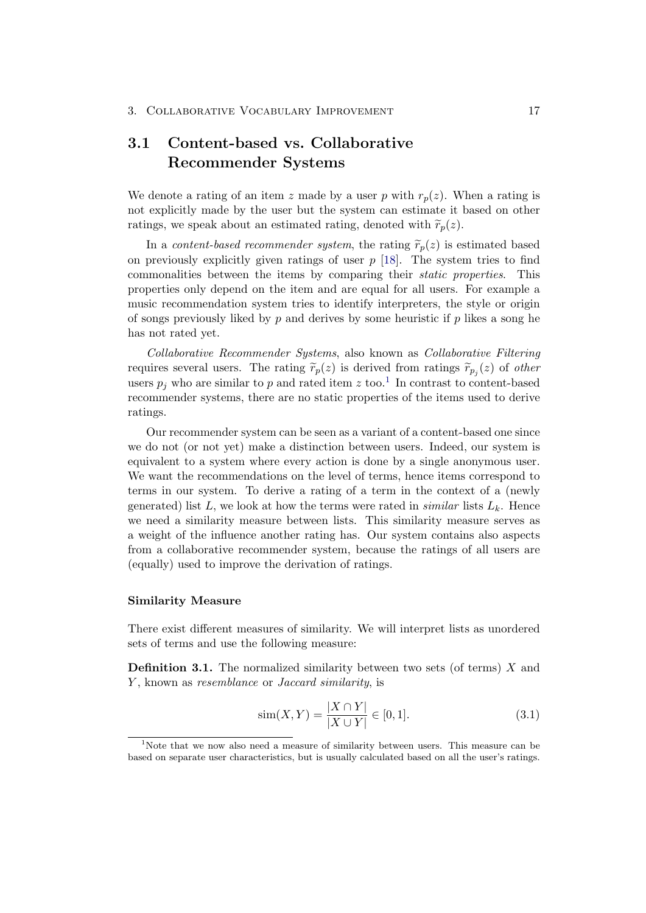## <span id="page-21-0"></span>3.1 Content-based vs. Collaborative Recommender Systems

We denote a rating of an item z made by a user p with  $r_p(z)$ . When a rating is not explicitly made by the user but the system can estimate it based on other ratings, we speak about an estimated rating, denoted with  $\widetilde{r}_p(z)$ .

In a content-based recommender system, the rating  $\widetilde{r}_n(z)$  is estimated based on previously explicitly given ratings of user  $p$  [\[18\]](#page-32-7). The system tries to find commonalities between the items by comparing their static properties. This properties only depend on the item and are equal for all users. For example a music recommendation system tries to identify interpreters, the style or origin of songs previously liked by p and derives by some heuristic if p likes a song he has not rated yet.

Collaborative Recommender Systems, also known as Collaborative Filtering requires several users. The rating  $\tilde{r}_p(z)$  is derived from ratings  $\tilde{r}_{p_j}(z)$  of *other*<br>users n, who are similar to n and rated item  $z$  too <sup>1</sup>. In contrast to content based users  $p_j$  who are similar to p and rated item z too.<sup>[1](#page-21-1)</sup> In contrast to content-based recommender systems, there are no static properties of the items used to derive ratings.

Our recommender system can be seen as a variant of a content-based one since we do not (or not yet) make a distinction between users. Indeed, our system is equivalent to a system where every action is done by a single anonymous user. We want the recommendations on the level of terms, hence items correspond to terms in our system. To derive a rating of a term in the context of a (newly generated) list L, we look at how the terms were rated in *similar* lists  $L_k$ . Hence we need a similarity measure between lists. This similarity measure serves as a weight of the influence another rating has. Our system contains also aspects from a collaborative recommender system, because the ratings of all users are (equally) used to improve the derivation of ratings.

#### Similarity Measure

There exist different measures of similarity. We will interpret lists as unordered sets of terms and use the following measure:

<span id="page-21-2"></span>**Definition 3.1.** The normalized similarity between two sets (of terms)  $X$  and Y, known as *resemblance* or *Jaccard similarity*, is

$$
\text{sim}(X, Y) = \frac{|X \cap Y|}{|X \cup Y|} \in [0, 1]. \tag{3.1}
$$

<span id="page-21-1"></span><sup>&</sup>lt;sup>1</sup>Note that we now also need a measure of similarity between users. This measure can be based on separate user characteristics, but is usually calculated based on all the user's ratings.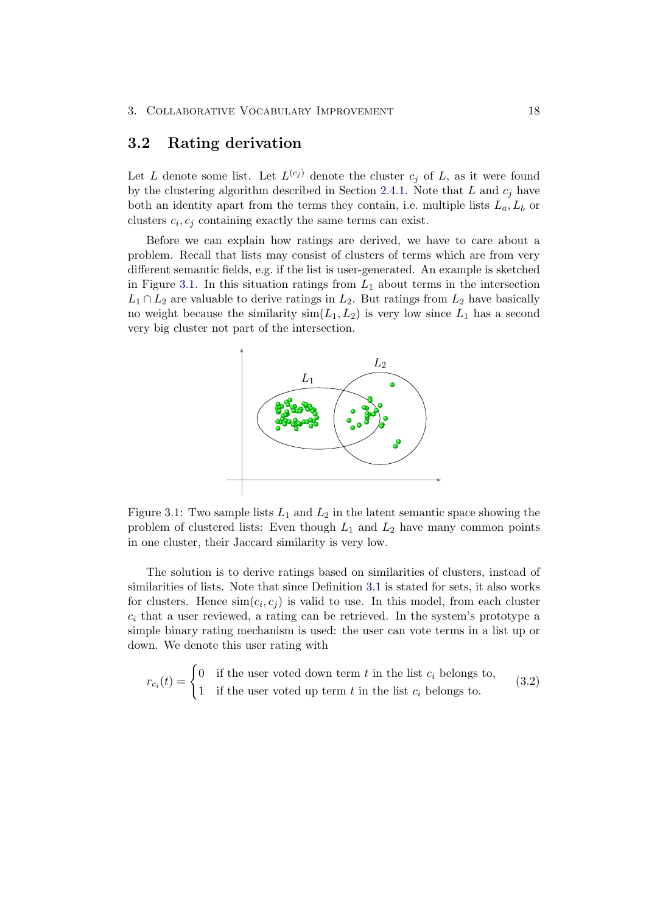### <span id="page-22-0"></span>3.2 Rating derivation

Let L denote some list. Let  $L^{(c_j)}$  denote the cluster  $c_j$  of L, as it were found by the clustering algorithm described in Section [2.4.1.](#page-15-0) Note that  $L$  and  $c_j$  have both an identity apart from the terms they contain, i.e. multiple lists  $L_a, L_b$  or clusters  $c_i, c_j$  containing exactly the same terms can exist.

Before we can explain how ratings are derived, we have to care about a problem. Recall that lists may consist of clusters of terms which are from very different semantic fields, e.g. if the list is user-generated. An example is sketched in Figure [3.1.](#page-22-1) In this situation ratings from  $L_1$  about terms in the intersection  $L_1 \cap L_2$  are valuable to derive ratings in  $L_2$ . But ratings from  $L_2$  have basically no weight because the similarity  $\text{sim}(L_1, L_2)$  is very low since  $L_1$  has a second very big cluster not part of the intersection.

<span id="page-22-1"></span>

Figure 3.1: Two sample lists  $L_1$  and  $L_2$  in the latent semantic space showing the problem of clustered lists: Even though  $L_1$  and  $L_2$  have many common points in one cluster, their Jaccard similarity is very low.

The solution is to derive ratings based on similarities of clusters, instead of similarities of lists. Note that since Definition [3.1](#page-21-2) is stated for sets, it also works for clusters. Hence  $\text{sim}(c_i, c_j)$  is valid to use. In this model, from each cluster  $c_i$  that a user reviewed, a rating can be retrieved. In the system's prototype a simple binary rating mechanism is used: the user can vote terms in a list up or down. We denote this user rating with

$$
r_{c_i}(t) = \begin{cases} 0 & \text{if the user voted down term } t \text{ in the list } c_i \text{ belongs to,} \\ 1 & \text{if the user voted up term } t \text{ in the list } c_i \text{ belongs to.} \end{cases}
$$
(3.2)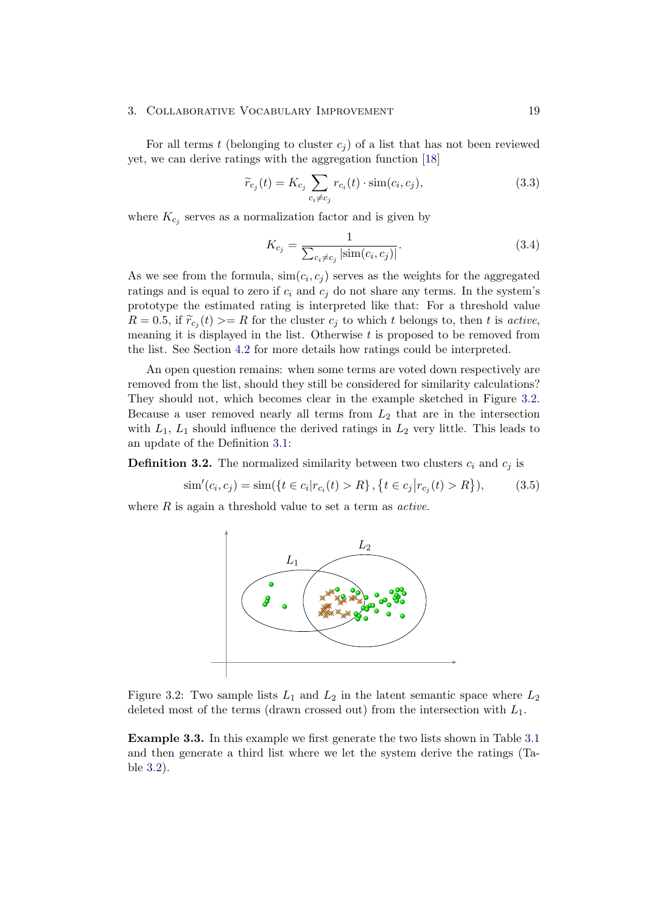#### 3. COLLABORATIVE VOCABULARY IMPROVEMENT 19

For all terms t (belonging to cluster  $c_i$ ) of a list that has not been reviewed yet, we can derive ratings with the aggregation function [\[18\]](#page-32-7)

$$
\widetilde{r}_{c_j}(t) = K_{c_j} \sum_{c_i \neq c_j} r_{c_i}(t) \cdot \text{sim}(c_i, c_j), \qquad (3.3)
$$

where  $K_{c_j}$  serves as a normalization factor and is given by

$$
K_{c_j} = \frac{1}{\sum_{c_i \neq c_j} |\text{sim}(c_i, c_j)|}.
$$
\n(3.4)

As we see from the formula,  $\text{sim}(c_i, c_j)$  serves as the weights for the aggregated ratings and is equal to zero if  $c_i$  and  $c_j$  do not share any terms. In the system's prototype the estimated rating is interpreted like that: For a threshold value  $R = 0.5$ , if  $\widetilde{r}_{c_j}(t) >= R$  for the cluster  $c_j$  to which t belongs to, then t is active, meaning it is displayed in the list. Otherwise  $t$  is proposed to be removed from the list. See Section [4.2](#page-26-0) for more details how ratings could be interpreted.

An open question remains: when some terms are voted down respectively are removed from the list, should they still be considered for similarity calculations? They should not, which becomes clear in the example sketched in Figure [3.2.](#page-23-0) Because a user removed nearly all terms from  $L_2$  that are in the intersection with  $L_1$ ,  $L_1$  should influence the derived ratings in  $L_2$  very little. This leads to an update of the Definition [3.1:](#page-21-2)

**Definition 3.2.** The normalized similarity between two clusters  $c_i$  and  $c_j$  is

$$
\text{sim}'(c_i, c_j) = \text{sim}(\{t \in c_i | r_{c_i}(t) > R\}, \{t \in c_j | r_{c_j}(t) > R\}),\tag{3.5}
$$

<span id="page-23-0"></span>where  $R$  is again a threshold value to set a term as *active*.



Figure 3.2: Two sample lists  $L_1$  and  $L_2$  in the latent semantic space where  $L_2$ deleted most of the terms (drawn crossed out) from the intersection with  $L_1$ .

Example 3.3. In this example we first generate the two lists shown in Table [3.1](#page-24-0) and then generate a third list where we let the system derive the ratings (Table [3.2\)](#page-24-1).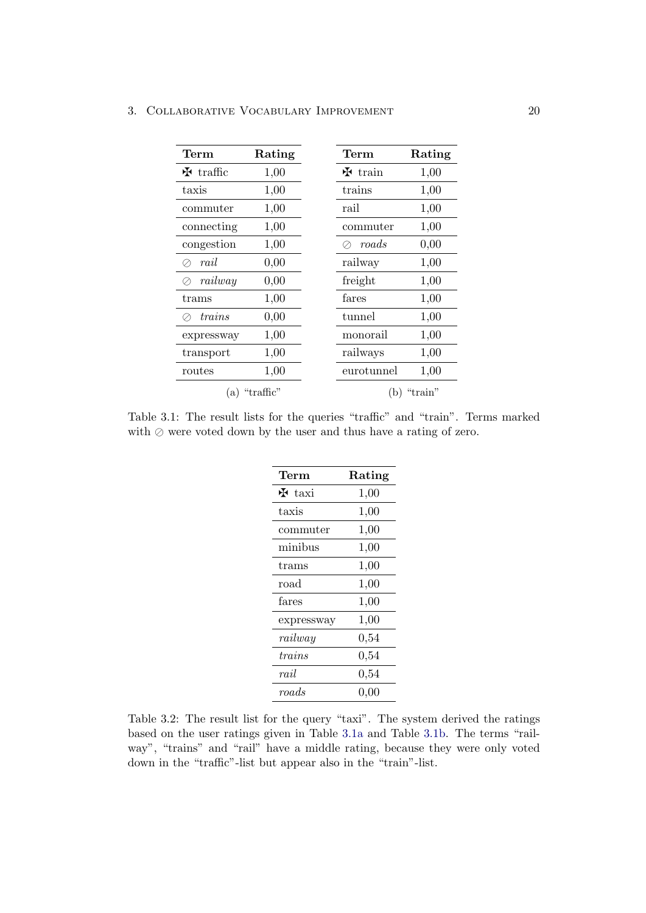### <span id="page-24-0"></span>3. COLLABORATIVE VOCABULARY IMPROVEMENT 20

| Term        | Rating          | Term                     | Rating  |
|-------------|-----------------|--------------------------|---------|
| $H$ traffic | 1,00            | $\mathbf{\dot{H}}$ train | 1,00    |
| taxis       | 1,00            | trains                   | 1,00    |
| commuter    | 1,00            | rail                     | 1,00    |
| connecting  | 1,00            | commuter                 | 1,00    |
| congestion  | 1,00            | roads                    | 0,00    |
| rail        | 0,00            | railway                  | 1,00    |
| railway     | 0,00            | freight                  | 1,00    |
| trans       | 1,00            | fares                    | 1,00    |
| trans       | 0,00            | tunnel                   | 1,00    |
| expressway  | 1,00            | monorail                 | 1,00    |
| transport   | 1,00            | railways                 | 1,00    |
| routes      | 1,00            | eurotunnel               | 1,00    |
|             | $(a)$ "traffic" | (b)                      | "train" |

<span id="page-24-1"></span>Table 3.1: The result lists for the queries "traffic" and "train". Terms marked with  $\oslash$  were voted down by the user and thus have a rating of zero.

| Term             | Rating    |  |
|------------------|-----------|--|
| $H$ taxi         | 1,00      |  |
| taxis            | 1,00      |  |
| commuter         | 1,00      |  |
| minibus          | 1,00      |  |
| trams            | 1,00      |  |
| road             | 1,00      |  |
| fares            | 1,00      |  |
| expressway       | 1,00      |  |
| $\it railway$    | 0,54      |  |
| trains           | $_{0,54}$ |  |
| $_{raid}$        | $_{0,54}$ |  |
| $\mathit{roads}$ | 0,00      |  |

Table 3.2: The result list for the query "taxi". The system derived the ratings based on the user ratings given in Table [3.1a](#page-24-0) and Table [3.1b.](#page-24-0) The terms "railway", "trains" and "rail" have a middle rating, because they were only voted down in the "traffic"-list but appear also in the "train"-list.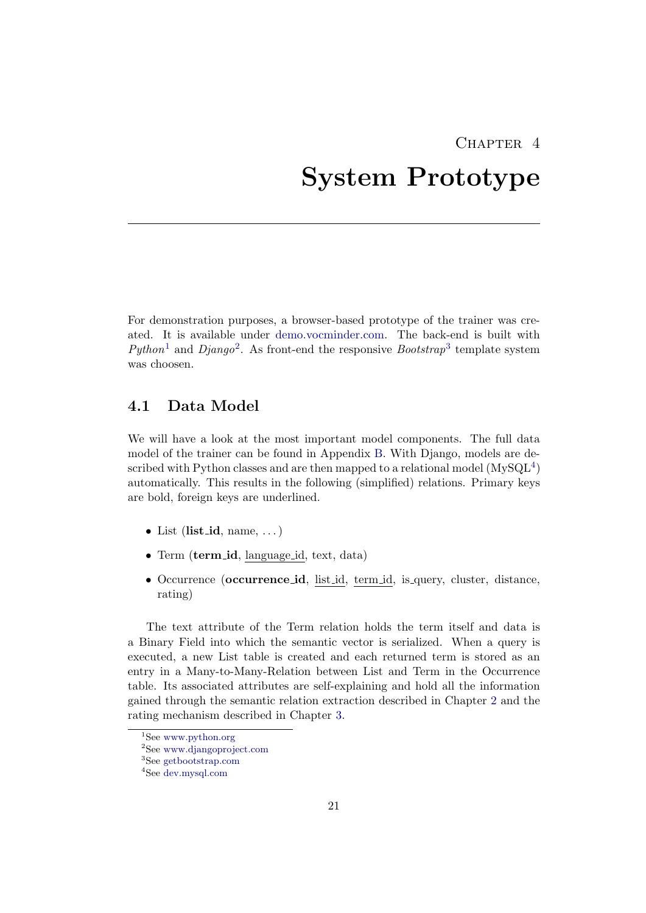## <span id="page-25-0"></span>CHAPTER<sub>4</sub> System Prototype

For demonstration purposes, a browser-based prototype of the trainer was created. It is available under [demo.vocminder.com.](http://demo.vocminder.com) The back-end is built with Python<sup>[1](#page-25-2)</sup> and Django<sup>[2](#page-25-3)</sup>. As front-end the responsive Bootstrap<sup>[3](#page-25-4)</sup> template system was choosen.

## <span id="page-25-1"></span>4.1 Data Model

We will have a look at the most important model components. The full data model of the trainer can be found in Appendix [B.](#page-34-0) With Django, models are described with Python classes and are then mapped to a relational model  $(MySQL<sup>4</sup>)$  $(MySQL<sup>4</sup>)$  $(MySQL<sup>4</sup>)$ automatically. This results in the following (simplified) relations. Primary keys are bold, foreign keys are underlined.

- List (list id, name,  $\dots$ )
- Term (term id, language id, text, data)
- Occurrence (occurrence id, list id, term id, is query, cluster, distance, rating)

The text attribute of the Term relation holds the term itself and data is a Binary Field into which the semantic vector is serialized. When a query is executed, a new List table is created and each returned term is stored as an entry in a Many-to-Many-Relation between List and Term in the Occurrence table. Its associated attributes are self-explaining and hold all the information gained through the semantic relation extraction described in Chapter [2](#page-7-0) and the rating mechanism described in Chapter [3.](#page-20-0)

<span id="page-25-2"></span><sup>&</sup>lt;sup>1</sup>See [www.python.org](http://www.python.org/)

<span id="page-25-3"></span><sup>2</sup>See [www.djangoproject.com](https://www.djangoproject.com/)

<span id="page-25-4"></span><sup>3</sup>See [getbootstrap.com](http://getbootstrap.com/)

<span id="page-25-5"></span><sup>4</sup>See [dev.mysql.com](http://dev.mysql.com/)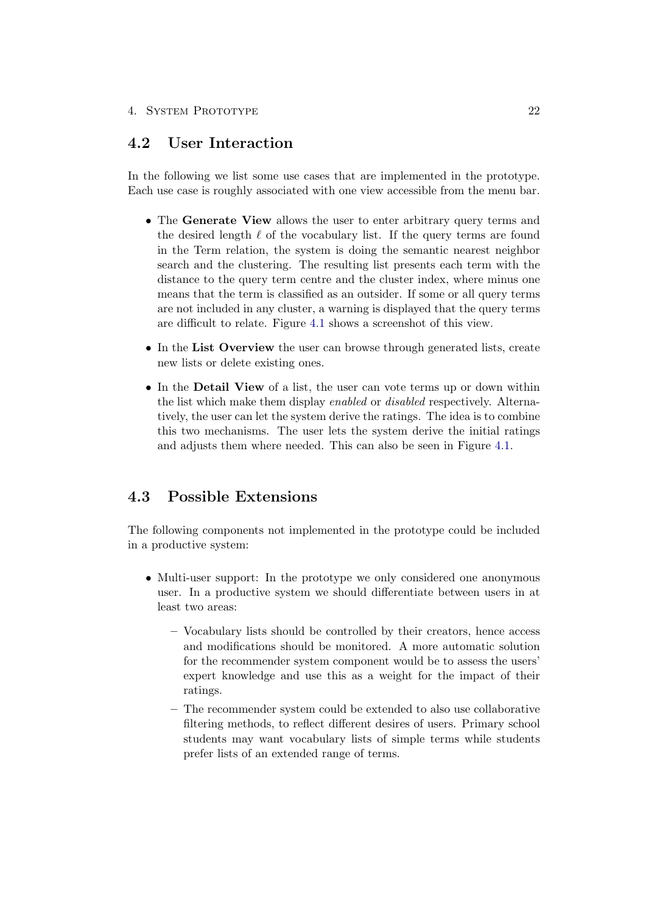## <span id="page-26-0"></span>4.2 User Interaction

In the following we list some use cases that are implemented in the prototype. Each use case is roughly associated with one view accessible from the menu bar.

- The Generate View allows the user to enter arbitrary query terms and the desired length  $\ell$  of the vocabulary list. If the query terms are found in the Term relation, the system is doing the semantic nearest neighbor search and the clustering. The resulting list presents each term with the distance to the query term centre and the cluster index, where minus one means that the term is classified as an outsider. If some or all query terms are not included in any cluster, a warning is displayed that the query terms are difficult to relate. Figure [4.1](#page-28-0) shows a screenshot of this view.
- In the List Overview the user can browse through generated lists, create new lists or delete existing ones.
- In the **Detail View** of a list, the user can vote terms up or down within the list which make them display enabled or disabled respectively. Alternatively, the user can let the system derive the ratings. The idea is to combine this two mechanisms. The user lets the system derive the initial ratings and adjusts them where needed. This can also be seen in Figure [4.1.](#page-28-0)

## <span id="page-26-1"></span>4.3 Possible Extensions

The following components not implemented in the prototype could be included in a productive system:

- Multi-user support: In the prototype we only considered one anonymous user. In a productive system we should differentiate between users in at least two areas:
	- Vocabulary lists should be controlled by their creators, hence access and modifications should be monitored. A more automatic solution for the recommender system component would be to assess the users' expert knowledge and use this as a weight for the impact of their ratings.
	- The recommender system could be extended to also use collaborative filtering methods, to reflect different desires of users. Primary school students may want vocabulary lists of simple terms while students prefer lists of an extended range of terms.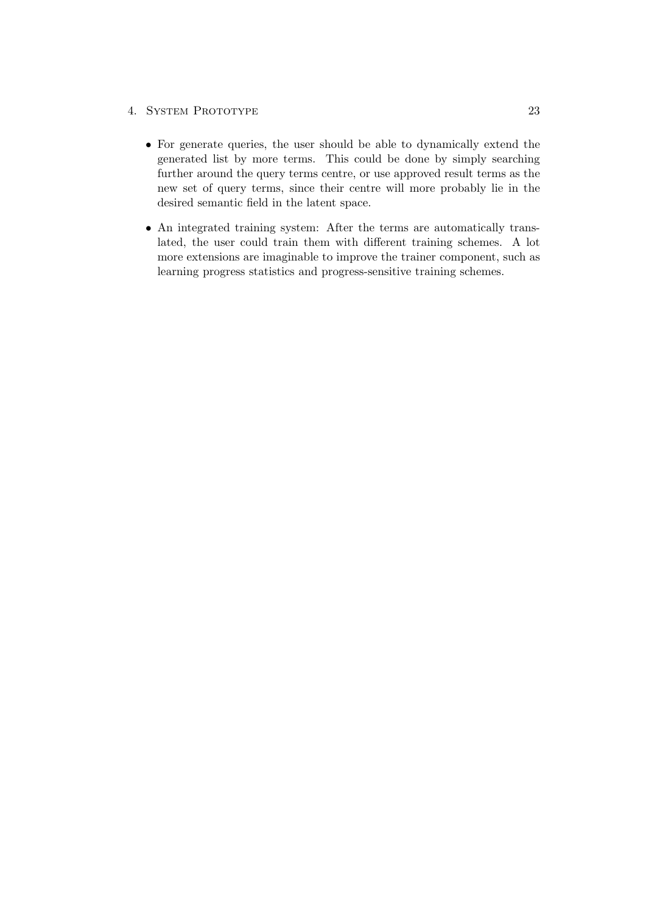### 4. SYSTEM PROTOTYPE 23

- For generate queries, the user should be able to dynamically extend the generated list by more terms. This could be done by simply searching further around the query terms centre, or use approved result terms as the new set of query terms, since their centre will more probably lie in the desired semantic field in the latent space.
- An integrated training system: After the terms are automatically translated, the user could train them with different training schemes. A lot more extensions are imaginable to improve the trainer component, such as learning progress statistics and progress-sensitive training schemes.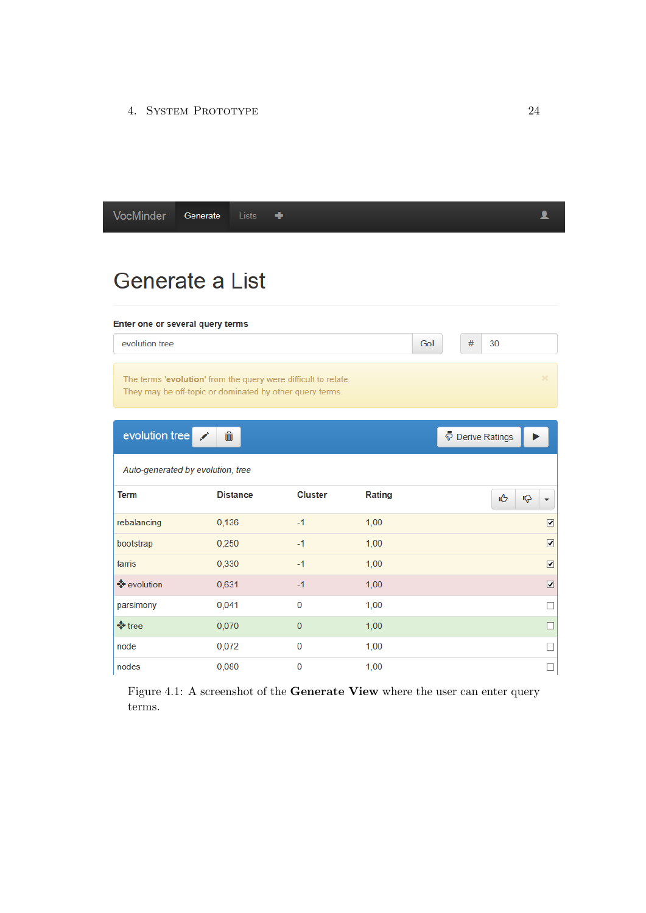4. System Prototype 24

<span id="page-28-0"></span>

| VocMinder<br>Generate<br>Lists | т |
|--------------------------------|---|
|--------------------------------|---|

## Generate a List

#### Enter one or several query terms

evolution tree

The terms 'evolution' from the query were difficult to relate. They may be off-topic or dominated by other query terms.

| evolution tree                    | $\widehat{\overline{\mathbb{m}}}$ |                |        | P Derive Ratings                |
|-----------------------------------|-----------------------------------|----------------|--------|---------------------------------|
| Auto-generated by evolution, tree |                                   |                |        |                                 |
| <b>Term</b>                       | <b>Distance</b>                   | <b>Cluster</b> | Rating | ıĜ<br>ιĢ                        |
| rebalancing                       | 0,136                             | $-1$           | 1,00   | $\overline{\mathbf{v}}$         |
| bootstrap                         | 0,250                             | $-1$           | 1,00   | $\overline{\mathbf{v}}$         |
| farris                            | 0,330                             | $-1$           | 1,00   | $\overline{\mathbf{v}}$         |
| <b>♦</b> evolution                | 0,631                             | $-1$           | 1,00   | $\overline{\blacktriangledown}$ |
| parsimony                         | 0,041                             | $\mathbf 0$    | 1,00   | П                               |
| $\bigcirc$ tree                   | 0,070                             | $\overline{0}$ | 1,00   | ட                               |
| node                              | 0,072                             | $\mathbf 0$    | 1,00   | П                               |
| nodes                             | 0,080                             | $\mathbf 0$    | 1,00   | $\Box$                          |

Gol

 $#$ 

 $30<sup>°</sup>$ 

Figure 4.1: A screenshot of the Generate View where the user can enter query terms.

 $\blacktriangle$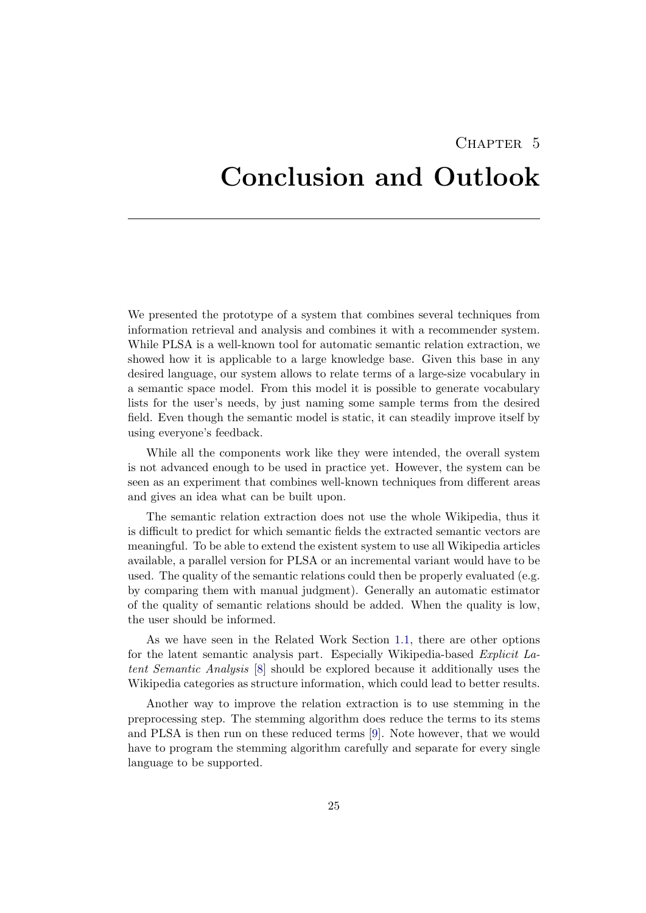## <span id="page-29-0"></span>CHAPTER 5 Conclusion and Outlook

We presented the prototype of a system that combines several techniques from information retrieval and analysis and combines it with a recommender system. While PLSA is a well-known tool for automatic semantic relation extraction, we showed how it is applicable to a large knowledge base. Given this base in any desired language, our system allows to relate terms of a large-size vocabulary in a semantic space model. From this model it is possible to generate vocabulary lists for the user's needs, by just naming some sample terms from the desired field. Even though the semantic model is static, it can steadily improve itself by using everyone's feedback.

While all the components work like they were intended, the overall system is not advanced enough to be used in practice yet. However, the system can be seen as an experiment that combines well-known techniques from different areas and gives an idea what can be built upon.

The semantic relation extraction does not use the whole Wikipedia, thus it is difficult to predict for which semantic fields the extracted semantic vectors are meaningful. To be able to extend the existent system to use all Wikipedia articles available, a parallel version for PLSA or an incremental variant would have to be used. The quality of the semantic relations could then be properly evaluated (e.g. by comparing them with manual judgment). Generally an automatic estimator of the quality of semantic relations should be added. When the quality is low, the user should be informed.

As we have seen in the Related Work Section [1.1,](#page-6-0) there are other options for the latent semantic analysis part. Especially Wikipedia-based Explicit Latent Semantic Analysis [\[8\]](#page-31-8) should be explored because it additionally uses the Wikipedia categories as structure information, which could lead to better results.

Another way to improve the relation extraction is to use stemming in the preprocessing step. The stemming algorithm does reduce the terms to its stems and PLSA is then run on these reduced terms [\[9\]](#page-31-9). Note however, that we would have to program the stemming algorithm carefully and separate for every single language to be supported.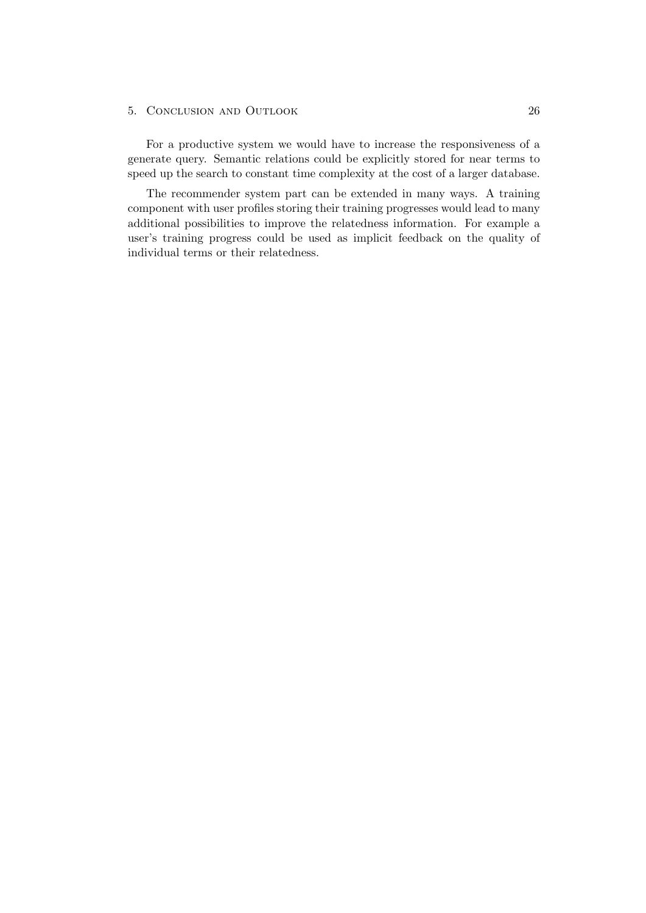### 5. Conclusion and Outlook 26

For a productive system we would have to increase the responsiveness of a generate query. Semantic relations could be explicitly stored for near terms to speed up the search to constant time complexity at the cost of a larger database.

The recommender system part can be extended in many ways. A training component with user profiles storing their training progresses would lead to many additional possibilities to improve the relatedness information. For example a user's training progress could be used as implicit feedback on the quality of individual terms or their relatedness.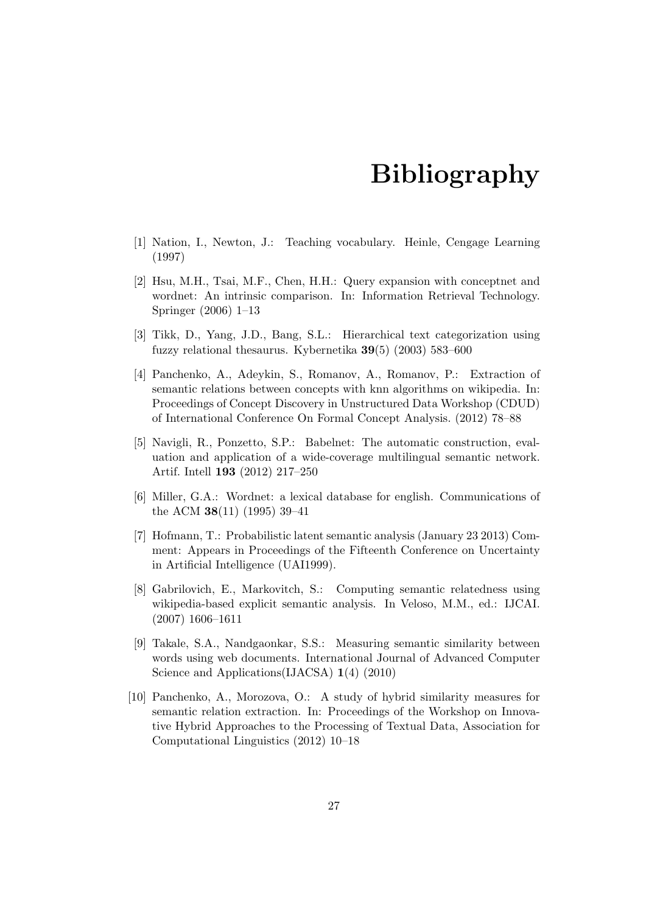## Bibliography

- <span id="page-31-1"></span><span id="page-31-0"></span>[1] Nation, I., Newton, J.: Teaching vocabulary. Heinle, Cengage Learning (1997)
- <span id="page-31-2"></span>[2] Hsu, M.H., Tsai, M.F., Chen, H.H.: Query expansion with conceptnet and wordnet: An intrinsic comparison. In: Information Retrieval Technology. Springer (2006) 1–13
- <span id="page-31-3"></span>[3] Tikk, D., Yang, J.D., Bang, S.L.: Hierarchical text categorization using fuzzy relational thesaurus. Kybernetika 39(5) (2003) 583–600
- <span id="page-31-4"></span>[4] Panchenko, A., Adeykin, S., Romanov, A., Romanov, P.: Extraction of semantic relations between concepts with knn algorithms on wikipedia. In: Proceedings of Concept Discovery in Unstructured Data Workshop (CDUD) of International Conference On Formal Concept Analysis. (2012) 78–88
- <span id="page-31-5"></span>[5] Navigli, R., Ponzetto, S.P.: Babelnet: The automatic construction, evaluation and application of a wide-coverage multilingual semantic network. Artif. Intell 193 (2012) 217–250
- <span id="page-31-6"></span>[6] Miller, G.A.: Wordnet: a lexical database for english. Communications of the ACM 38(11) (1995) 39–41
- <span id="page-31-7"></span>[7] Hofmann, T.: Probabilistic latent semantic analysis (January 23 2013) Comment: Appears in Proceedings of the Fifteenth Conference on Uncertainty in Artificial Intelligence (UAI1999).
- <span id="page-31-8"></span>[8] Gabrilovich, E., Markovitch, S.: Computing semantic relatedness using wikipedia-based explicit semantic analysis. In Veloso, M.M., ed.: IJCAI. (2007) 1606–1611
- <span id="page-31-9"></span>[9] Takale, S.A., Nandgaonkar, S.S.: Measuring semantic similarity between words using web documents. International Journal of Advanced Computer Science and Applications(IJACSA) 1(4) (2010)
- <span id="page-31-10"></span>[10] Panchenko, A., Morozova, O.: A study of hybrid similarity measures for semantic relation extraction. In: Proceedings of the Workshop on Innovative Hybrid Approaches to the Processing of Textual Data, Association for Computational Linguistics (2012) 10–18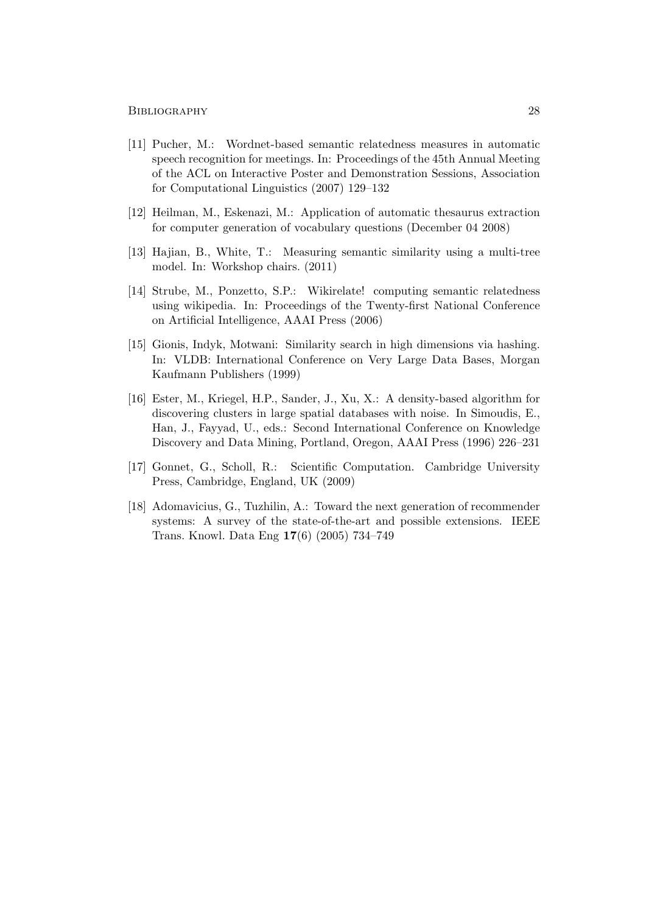#### BIBLIOGRAPHY 28

- <span id="page-32-0"></span>[11] Pucher, M.: Wordnet-based semantic relatedness measures in automatic speech recognition for meetings. In: Proceedings of the 45th Annual Meeting of the ACL on Interactive Poster and Demonstration Sessions, Association for Computational Linguistics (2007) 129–132
- <span id="page-32-1"></span>[12] Heilman, M., Eskenazi, M.: Application of automatic thesaurus extraction for computer generation of vocabulary questions (December 04 2008)
- <span id="page-32-2"></span>[13] Hajian, B., White, T.: Measuring semantic similarity using a multi-tree model. In: Workshop chairs. (2011)
- <span id="page-32-3"></span>[14] Strube, M., Ponzetto, S.P.: Wikirelate! computing semantic relatedness using wikipedia. In: Proceedings of the Twenty-first National Conference on Artificial Intelligence, AAAI Press (2006)
- <span id="page-32-4"></span>[15] Gionis, Indyk, Motwani: Similarity search in high dimensions via hashing. In: VLDB: International Conference on Very Large Data Bases, Morgan Kaufmann Publishers (1999)
- <span id="page-32-5"></span>[16] Ester, M., Kriegel, H.P., Sander, J., Xu, X.: A density-based algorithm for discovering clusters in large spatial databases with noise. In Simoudis, E., Han, J., Fayyad, U., eds.: Second International Conference on Knowledge Discovery and Data Mining, Portland, Oregon, AAAI Press (1996) 226–231
- <span id="page-32-6"></span>[17] Gonnet, G., Scholl, R.: Scientific Computation. Cambridge University Press, Cambridge, England, UK (2009)
- <span id="page-32-7"></span>[18] Adomavicius, G., Tuzhilin, A.: Toward the next generation of recommender systems: A survey of the state-of-the-art and possible extensions. IEEE Trans. Knowl. Data Eng 17(6) (2005) 734–749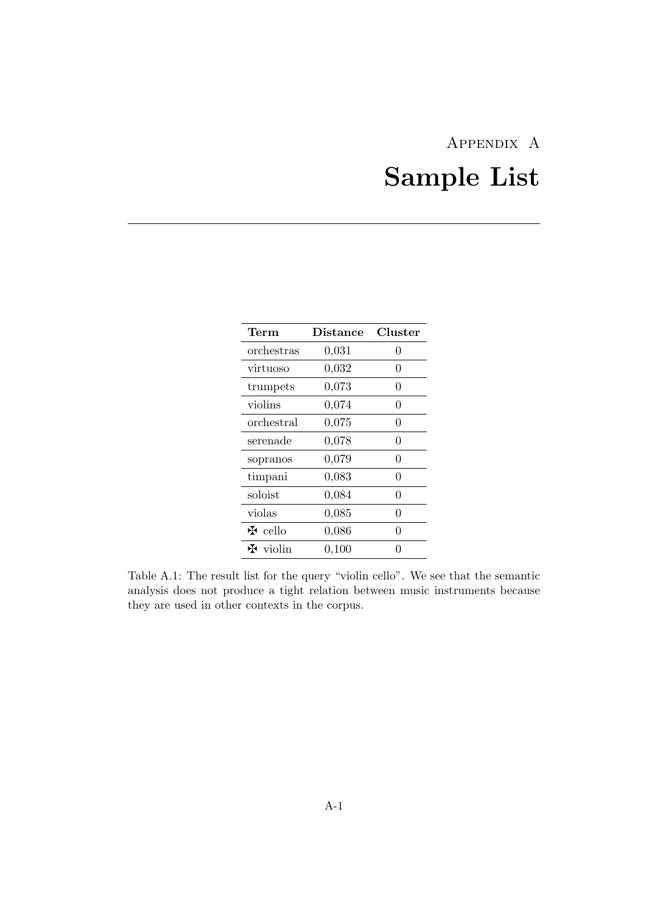# Appendix A Sample List

<span id="page-33-0"></span>

| Term                        | <b>Distance</b> | Cluster  |
|-----------------------------|-----------------|----------|
| orchestras                  | 0,031           | $\theta$ |
| virtuoso                    | 0,032           | 0        |
| trumpets                    | 0,073           | 0        |
| violins                     | 0,074           | 0        |
| orchestral                  | 0,075           | 0        |
| serenade                    | 0,078           | 0        |
| sopranos                    | 0,079           | 0        |
| timpani                     | 0,083           | 0        |
| soloist                     | 0,084           | 0        |
| violas                      | 0,085           | 0        |
| $\mathbf{\mathbf{F}}$ cello | 0,086           | 0        |
| $\mathbf{\ddot{H}}$ violin  | 0,100           |          |

Table A.1: The result list for the query "violin cello". We see that the semantic analysis does not produce a tight relation between music instruments because they are used in other contexts in the corpus.